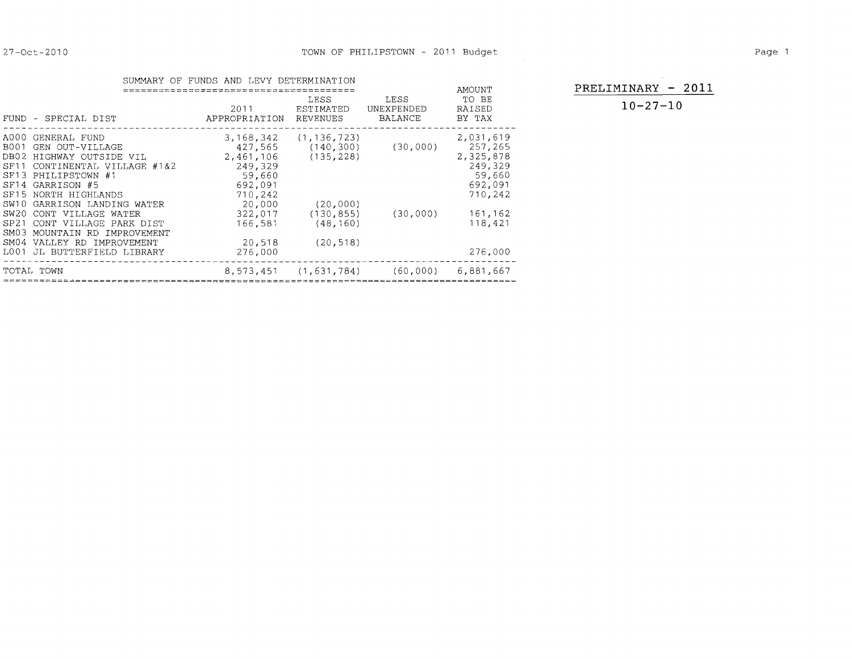AMOUNT **PRELIMINARY - 2011** 

RAISED **10-27-10** 

|                                                                                                                                         | SUMMARY                                                                                                                                                                                                                                                              | OF FUNDS AND LEVY DETERMINATION                                                                                        |                                                                                              |                                      | AMOUNT                                                                                             |
|-----------------------------------------------------------------------------------------------------------------------------------------|----------------------------------------------------------------------------------------------------------------------------------------------------------------------------------------------------------------------------------------------------------------------|------------------------------------------------------------------------------------------------------------------------|----------------------------------------------------------------------------------------------|--------------------------------------|----------------------------------------------------------------------------------------------------|
|                                                                                                                                         | FUND - SPECIAL DIST                                                                                                                                                                                                                                                  | 2011<br>APPROPRIATION                                                                                                  | LESS<br>ESTIMATED<br>REVENUES                                                                | LESS<br>UNEXPENDED<br><b>BALANCE</b> | TO BE<br>RAISED<br>BY TAX                                                                          |
| A000<br><b>B001</b><br>DB02<br>SF11<br>SF13<br>SF14<br>SF15<br>SW <sub>10</sub><br>SW <sub>20</sub><br>SP <sub>21</sub><br>SM03<br>SM04 | GENERAL FUND<br>GEN OUT-VILLAGE<br>HIGHWAY OUTSIDE VIL<br>CONTINENTAL VILLAGE #1&2<br>PHILIPSTOWN #1<br>GARRISON #5<br>NORTH HIGHLANDS<br>GARRISON LANDING WATER<br>CONT VILLAGE WATER<br>CONT VILLAGE PARK DIST<br>MOUNTAIN RD IMPROVEMENT<br>VALLEY RD IMPROVEMENT | 3,168,342<br>427,565<br>2,461,106<br>249,329<br>59,660<br>692,091<br>710,242<br>20,000<br>322,017<br>166,581<br>20,518 | (1, 136, 723)<br>(140, 300)<br>(135, 228)<br>(20,000)<br>(130, 855)<br>(48, 160)<br>(20.518) | (30,000)<br>(30,000)                 | 2,031,619<br>257,265<br>2,325,878<br>249,329<br>59,660<br>692,091<br>710,242<br>161,162<br>118,421 |
| L001                                                                                                                                    | JL BUTTERFIELD LIBRARY                                                                                                                                                                                                                                               | 276,000                                                                                                                |                                                                                              |                                      | 276,000                                                                                            |
|                                                                                                                                         | TOTAL TOWN                                                                                                                                                                                                                                                           | 8,573,451                                                                                                              | (1, 631, 784)                                                                                | (60, 000)                            | 6,881,667                                                                                          |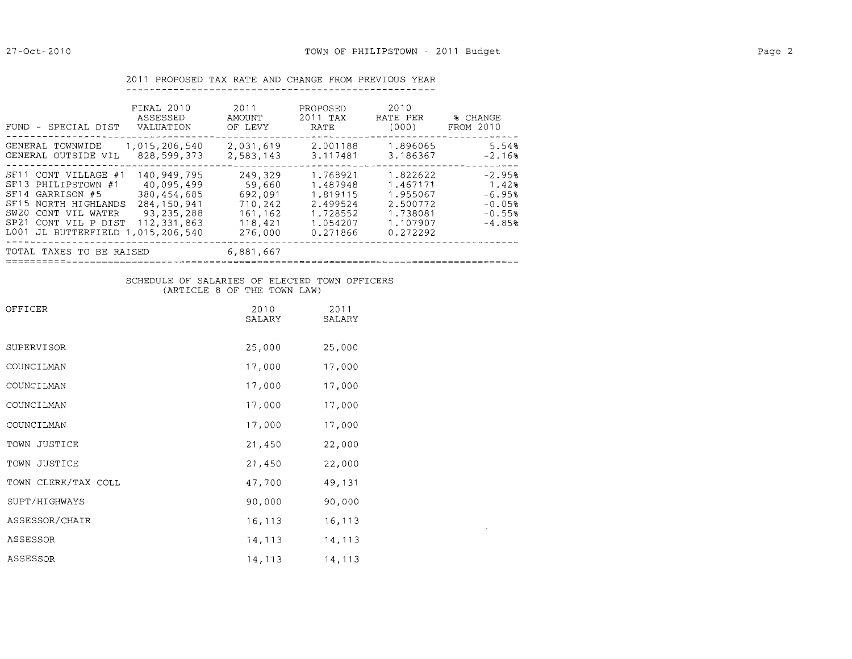$\sim 10^{11}$  km s  $^{-1}$ 

|  |  |  |  |  |  |  |  |  |  |  |  |  |  |  |  |  |  |  | 2011 PROPOSED TAX RATE AND CHANGE FROM PREVIOUS YEAR |
|--|--|--|--|--|--|--|--|--|--|--|--|--|--|--|--|--|--|--|------------------------------------------------------|
|  |  |  |  |  |  |  |  |  |  |  |  |  |  |  |  |  |  |  |                                                      |

| <b>FINAL 2010</b><br>ASSESSED<br>FUND - SPECIAL DIST<br>VALUATION                                                                                                                                                                                                                                                                | 2011<br>AMOUNT<br>OF LEVY                                                | PROPOSED<br>2011 TAX<br>RATE                                                     | 2010<br>RATE PER<br>(000)                                                        | % CHANGE<br>FROM 2010                                             |
|----------------------------------------------------------------------------------------------------------------------------------------------------------------------------------------------------------------------------------------------------------------------------------------------------------------------------------|--------------------------------------------------------------------------|----------------------------------------------------------------------------------|----------------------------------------------------------------------------------|-------------------------------------------------------------------|
| 1,015,206,540<br>GENERAL TOWNWIDE<br>GENERAL OUTSIDE VIL<br>828.599.373                                                                                                                                                                                                                                                          | 2,031,619<br>2,583,143                                                   | 2.001188<br>3.117481                                                             | 1.896065<br>3.186367                                                             | 5.54%<br>$-2.16%$                                                 |
| SF11 CONT VILLAGE #1<br>140,949,795<br>40,095,499<br>SF13 PHILIPSTOWN #1<br>GARRISON #5<br>380,454,685<br>SF14<br>SF <sub>15</sub><br>NORTH HIGHLANDS<br>284, 150, 941<br>93, 235, 288<br>SW <sub>20</sub><br>CONT VIL WATER<br>SP <sub>21</sub><br>112, 331, 863<br>CONT VIL P DIST<br>L001<br>JL BUTTERFIELD 1<br>.015.206.540 | 249,329<br>59,660<br>692,091<br>710,242<br>161,162<br>118,421<br>276,000 | 1,768921<br>1.487948<br>1.819115<br>2.499524<br>1.728552<br>1.054207<br>0.271866 | 1.822622<br>1.467171<br>1.955067<br>2.500772<br>1.738081<br>1.107907<br>0.272292 | $-2.95%$<br>1.42%<br>$-6.95%$<br>$-0.05%$<br>$-0.55%$<br>$-4.85%$ |
| TOTAL TAXES TO BE RAISED                                                                                                                                                                                                                                                                                                         | 6,881,667                                                                |                                                                                  |                                                                                  |                                                                   |

## SCHEDULE OF SALARIES OF ELECTED TOWN OFFICERS (ARTICLE 8 OF THE TOWN LAW)

| OFFICER             | 2010<br>SALARY | 2011<br>SALARY |
|---------------------|----------------|----------------|
| SUPERVISOR          | 25,000         | 25,000         |
| COUNCILMAN          | 17,000         | 17,000         |
| COUNCILMAN          | 17,000         | 17,000         |
| COUNCILMAN          | 17,000         | 17,000         |
| COUNCILMAN          | 17,000         | 17,000         |
| TOWN JUSTICE        | 21,450         | 22,000         |
| TOWN JUSTICE        | 21,450         | 22,000         |
| TOWN CLERK/TAX COLL | 47,700         | 49,131         |
| SUPT/HIGHWAYS       | 90,000         | 90,000         |
| ASSESSOR/CHAIR      | 16,113         | 16,113         |
| ASSESSOR            | 14,113         | 14,113         |
| ASSESSOR            | 14, 113        | 14,113         |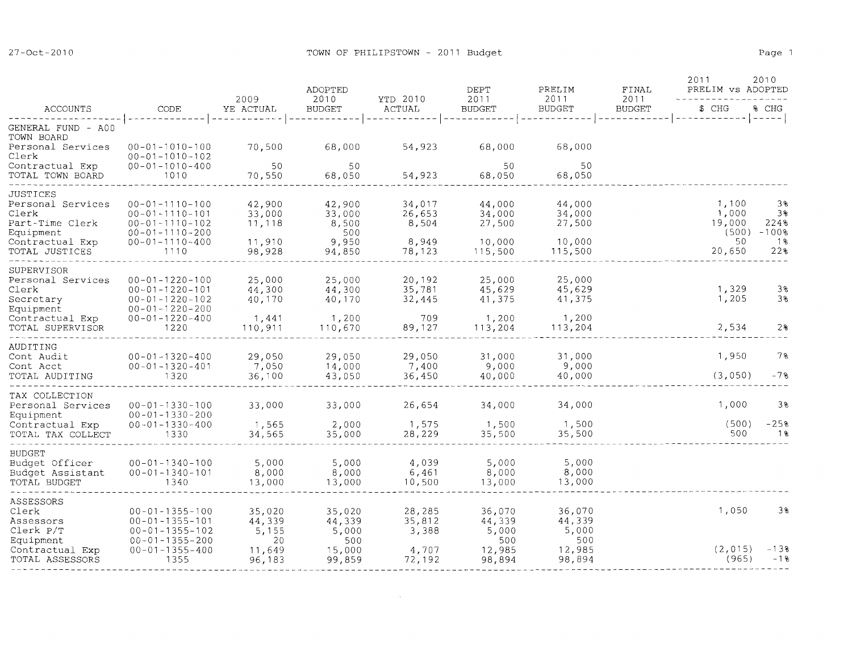| 2009<br>2010<br>2011<br>2011<br>YTD 2010<br>2011<br>\$ CHG<br><b>BUDGET</b><br><b>BUDGET</b><br>ACCOUNTS<br><b>CODE</b><br>ACTUAL<br><b>BUDGET</b><br>% CHG<br>YE ACTUAL<br><b>BUDGET</b><br>------------  <i>---</i> --<br><u> 22222222222   222222222222</u><br>---------<br>----------<br>------------<br>-----------<br>-----------<br>GENERAL FUND - A00<br>TOWN BOARD<br>$00 - 01 - 1010 - 100$<br>70,500<br>68,000<br>54,923<br>68,000<br>68,000<br>Personal Services<br>Clerk<br>$00 - 01 - 1010 - 102$<br>50<br>50<br>50<br>50<br>Contractual Exp<br>$00 - 01 - 1010 - 400$<br>70,550<br>54,923<br>68,050<br>68,050<br>TOTAL TOWN BOARD<br>1010<br>68,050<br><b>JUSTICES</b><br>34,017<br>44,000<br>44,000<br>1,100<br>3%<br>Personal Services<br>$00 - 01 - 1110 - 100$<br>42,900<br>42,900<br>33,000<br>34,000<br>34,000<br>1,000<br>3%<br>Clerk<br>$00 - 01 - 1110 - 101$<br>33,000<br>26,653<br>19,000<br>Part-Time Clerk<br>$00 - 01 - 1110 - 102$<br>11,118<br>8,500<br>8,504<br>27,500<br>27,500<br>224%<br>(500)<br>$-1008$<br>500<br>Equipment<br>$00 - 01 - 1110 - 200$ |  |  |
|--------------------------------------------------------------------------------------------------------------------------------------------------------------------------------------------------------------------------------------------------------------------------------------------------------------------------------------------------------------------------------------------------------------------------------------------------------------------------------------------------------------------------------------------------------------------------------------------------------------------------------------------------------------------------------------------------------------------------------------------------------------------------------------------------------------------------------------------------------------------------------------------------------------------------------------------------------------------------------------------------------------------------------------------------------------------------------------------|--|--|
|                                                                                                                                                                                                                                                                                                                                                                                                                                                                                                                                                                                                                                                                                                                                                                                                                                                                                                                                                                                                                                                                                            |  |  |
|                                                                                                                                                                                                                                                                                                                                                                                                                                                                                                                                                                                                                                                                                                                                                                                                                                                                                                                                                                                                                                                                                            |  |  |
|                                                                                                                                                                                                                                                                                                                                                                                                                                                                                                                                                                                                                                                                                                                                                                                                                                                                                                                                                                                                                                                                                            |  |  |
|                                                                                                                                                                                                                                                                                                                                                                                                                                                                                                                                                                                                                                                                                                                                                                                                                                                                                                                                                                                                                                                                                            |  |  |
|                                                                                                                                                                                                                                                                                                                                                                                                                                                                                                                                                                                                                                                                                                                                                                                                                                                                                                                                                                                                                                                                                            |  |  |
|                                                                                                                                                                                                                                                                                                                                                                                                                                                                                                                                                                                                                                                                                                                                                                                                                                                                                                                                                                                                                                                                                            |  |  |
|                                                                                                                                                                                                                                                                                                                                                                                                                                                                                                                                                                                                                                                                                                                                                                                                                                                                                                                                                                                                                                                                                            |  |  |
| 11,910<br>8,949<br>50<br>1 የ<br>9,950<br>10,000<br>10,000<br>$00 - 01 - 1110 - 400$<br>Contractual Exp<br>20,650<br>228<br>1110<br>98,928<br>94,850<br>78,123<br>115,500<br>115,500<br>TOTAL JUSTICES                                                                                                                                                                                                                                                                                                                                                                                                                                                                                                                                                                                                                                                                                                                                                                                                                                                                                      |  |  |
|                                                                                                                                                                                                                                                                                                                                                                                                                                                                                                                                                                                                                                                                                                                                                                                                                                                                                                                                                                                                                                                                                            |  |  |
| SUPERVISOR<br>$00 - 01 - 1220 - 100$<br>25,000<br>20,192<br>25,000<br>25,000<br>Personal Services<br>25,000                                                                                                                                                                                                                                                                                                                                                                                                                                                                                                                                                                                                                                                                                                                                                                                                                                                                                                                                                                                |  |  |
| 38<br>$00 - 01 - 1220 - 101$<br>44,300<br>44,300<br>35,781<br>45,629<br>45,629<br>1,329<br>Clerk                                                                                                                                                                                                                                                                                                                                                                                                                                                                                                                                                                                                                                                                                                                                                                                                                                                                                                                                                                                           |  |  |
| 38<br>1,205<br>$00 - 01 - 1220 - 102$<br>40,170<br>40,170<br>32,445<br>41,375<br>41,375<br>Secretary<br>Equipment<br>$00 - 01 - 1220 - 200$                                                                                                                                                                                                                                                                                                                                                                                                                                                                                                                                                                                                                                                                                                                                                                                                                                                                                                                                                |  |  |
| $00 - 01 - 1220 - 400$<br>709<br>1,200<br>1,200<br>1,441<br>1,200<br>Contractual Exp                                                                                                                                                                                                                                                                                                                                                                                                                                                                                                                                                                                                                                                                                                                                                                                                                                                                                                                                                                                                       |  |  |
| 2,534<br>2%<br>1220<br>110,911<br>110,670<br>89,127<br>113,204<br>113,204<br>TOTAL SUPERVISOR                                                                                                                                                                                                                                                                                                                                                                                                                                                                                                                                                                                                                                                                                                                                                                                                                                                                                                                                                                                              |  |  |
| AUDITING                                                                                                                                                                                                                                                                                                                                                                                                                                                                                                                                                                                                                                                                                                                                                                                                                                                                                                                                                                                                                                                                                   |  |  |
| 1,950<br>7%<br>29,050<br>31,000<br>Cont Audit<br>$00 - 01 - 1320 - 400$<br>29,050<br>29,050<br>31,000<br>7,400<br>9,000<br>$00 - 01 - 1320 - 401$<br>7,050<br>14,000<br>9,000<br>Cont Acct                                                                                                                                                                                                                                                                                                                                                                                                                                                                                                                                                                                                                                                                                                                                                                                                                                                                                                 |  |  |
| (3,050)<br>$-7%$<br>1320<br>36,100<br>43,050<br>36,450<br>40,000<br>40,000<br>TOTAL AUDITING                                                                                                                                                                                                                                                                                                                                                                                                                                                                                                                                                                                                                                                                                                                                                                                                                                                                                                                                                                                               |  |  |
| TAX COLLECTION                                                                                                                                                                                                                                                                                                                                                                                                                                                                                                                                                                                                                                                                                                                                                                                                                                                                                                                                                                                                                                                                             |  |  |
| 1,000<br>$00 - 01 - 1330 - 100$<br>33,000<br>33,000<br>26,654<br>34,000<br>34,000<br>38<br>Personal Services                                                                                                                                                                                                                                                                                                                                                                                                                                                                                                                                                                                                                                                                                                                                                                                                                                                                                                                                                                               |  |  |
| $00 - 01 - 1330 - 200$<br>Equipment<br>$-25%$<br>2,000<br>1,575<br>1,500<br>1,500<br>(500)<br>$00 - 01 - 1330 - 400$<br>1,565<br>Contractual Exp                                                                                                                                                                                                                                                                                                                                                                                                                                                                                                                                                                                                                                                                                                                                                                                                                                                                                                                                           |  |  |
| 500<br>28,229<br>35,500<br>ୀ %<br>34,565<br>35,000<br>35,500<br>TOTAL TAX COLLECT<br>1330                                                                                                                                                                                                                                                                                                                                                                                                                                                                                                                                                                                                                                                                                                                                                                                                                                                                                                                                                                                                  |  |  |
| <b>BUDGET</b>                                                                                                                                                                                                                                                                                                                                                                                                                                                                                                                                                                                                                                                                                                                                                                                                                                                                                                                                                                                                                                                                              |  |  |
| 5,000<br>5,000<br>4,039<br>5,000<br>5,000<br>Budget Officer<br>$00 - 01 - 1340 - 100$                                                                                                                                                                                                                                                                                                                                                                                                                                                                                                                                                                                                                                                                                                                                                                                                                                                                                                                                                                                                      |  |  |
| 6,461<br>8,000<br>$00 - 01 - 1340 - 101$<br>8,000<br>8,000<br>8,000<br>Budget Assistant<br>10,500<br>13,000<br>1340<br>13,000<br>13,000<br>13,000<br>TOTAL BUDGET                                                                                                                                                                                                                                                                                                                                                                                                                                                                                                                                                                                                                                                                                                                                                                                                                                                                                                                          |  |  |
| ASSESSORS                                                                                                                                                                                                                                                                                                                                                                                                                                                                                                                                                                                                                                                                                                                                                                                                                                                                                                                                                                                                                                                                                  |  |  |
| 1,050<br>38<br>Clerk<br>$00 - 01 - 1355 - 100$<br>35,020<br>35,020<br>28,285<br>36,070<br>36,070                                                                                                                                                                                                                                                                                                                                                                                                                                                                                                                                                                                                                                                                                                                                                                                                                                                                                                                                                                                           |  |  |
| 44,339<br>35,812<br>44,339<br>$00 - 01 - 1355 - 101$<br>44,339<br>44,339<br>Assessors                                                                                                                                                                                                                                                                                                                                                                                                                                                                                                                                                                                                                                                                                                                                                                                                                                                                                                                                                                                                      |  |  |
| Clerk P/T<br>5,155<br>5,000<br>3,388<br>5,000<br>5,000<br>$00 - 01 - 1355 - 102$<br>Equipment<br>$00 - 01 - 1355 - 200$<br>20<br>500<br>500<br>500                                                                                                                                                                                                                                                                                                                                                                                                                                                                                                                                                                                                                                                                                                                                                                                                                                                                                                                                         |  |  |
| (2, 015)<br>$-138$<br>15,000<br>4,707<br>12,985<br>12,985<br>Contractual Exp<br>$00 - 01 - 1355 - 400$<br>11,649                                                                                                                                                                                                                                                                                                                                                                                                                                                                                                                                                                                                                                                                                                                                                                                                                                                                                                                                                                           |  |  |
| (965)<br>$-1$ %<br>98,894<br>TOTAL ASSESSORS<br>1355<br>99,859<br>72,192<br>98,894<br>96,183                                                                                                                                                                                                                                                                                                                                                                                                                                                                                                                                                                                                                                                                                                                                                                                                                                                                                                                                                                                               |  |  |

 $\mathcal{L}^{\text{max}}_{\text{max}}$  and  $\mathcal{L}^{\text{max}}_{\text{max}}$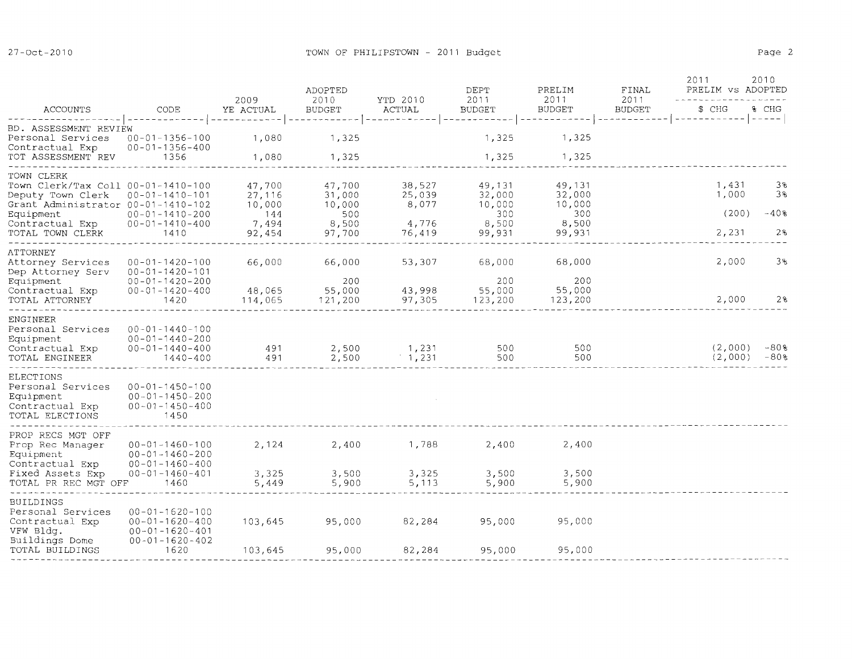|                                                                                                                                                                 |                                                                                                              | 2009                                                 | ADOPTED<br>2010                                      |                                              | DEPT<br>2011                                         | PRELIM<br>2011                                       | FINAL<br>2011 | 2011<br>PRELIM VS ADOPTED        | 2010                      |
|-----------------------------------------------------------------------------------------------------------------------------------------------------------------|--------------------------------------------------------------------------------------------------------------|------------------------------------------------------|------------------------------------------------------|----------------------------------------------|------------------------------------------------------|------------------------------------------------------|---------------|----------------------------------|---------------------------|
| ACCOUNTS                                                                                                                                                        | CODE                                                                                                         | YE ACTUAL                                            | <b>BUDGET</b>                                        | YTD 2010<br>ACTUAL                           | <b>BUDGET</b>                                        | <b>BUDGET</b>                                        | <b>BUDGET</b> | \$ CHG                           | % CHG                     |
| BD. ASSESSMENT REVIEW<br>Personal Services<br>Contractual Exp<br>TOT ASSESSMENT REV                                                                             | $00 - 01 - 1356 - 100$<br>$00 - 01 - 1356 - 400$<br>1356                                                     | 1,080<br>1,080                                       | 1,325<br>1,325                                       |                                              | 1,325<br>1,325                                       | 1,325<br>1,325                                       |               |                                  |                           |
| TOWN CLERK<br>Town Clerk/Tax Coll 00-01-1410-100<br>Deputy Town Clerk<br>Grant Administrator 00-01-1410-102<br>Equipment<br>Contractual Exp<br>TOTAL TOWN CLERK | $00 - 01 - 1410 - 101$<br>$00 - 01 - 1410 - 200$<br>$00 - 01 - 1410 - 400$<br>1410                           | 47,700<br>27,116<br>10,000<br>144<br>7,494<br>92,454 | 47,700<br>31,000<br>10,000<br>500<br>8,500<br>97,700 | 38,527<br>25,039<br>8,077<br>4,776<br>76,419 | 49,131<br>32,000<br>10,000<br>300<br>8,500<br>99,931 | 49,131<br>32,000<br>10,000<br>300<br>8,500<br>99,931 |               | 1,431<br>1,000<br>(200)<br>2,231 | 38<br>3%<br>$-40$ %<br>2% |
| <b>ATTORNEY</b><br>Attorney Services<br>Dep Attorney Serv<br>Equipment<br>Contractual Exp<br>TOTAL ATTORNEY                                                     | $00 - 01 - 1420 - 100$<br>$00 - 01 - 1420 - 101$<br>$00 - 01 - 1420 - 200$<br>$00 - 01 - 1420 - 400$<br>1420 | 66,000<br>48,065<br>114,065                          | 66,000<br>200<br>55,000<br>121,200                   | 53,307<br>43,998<br>97,305                   | 68,000<br>200<br>55,000<br>123,200                   | 68,000<br>200<br>55,000<br>123,200                   |               | 2,000<br>2,000                   | 3%<br>2%                  |
| ENGINEER<br>Personal Services<br>Equipment<br>Contractual Exp<br>TOTAL ENGINEER                                                                                 | $00 - 01 - 1440 - 100$<br>$00 - 01 - 1440 - 200$<br>$00 - 01 - 1440 - 400$<br>1440-400                       | 491<br>491                                           | 2,500<br>2,500                                       | 1,231<br>$-1,231$                            | 500<br>500                                           | 500<br>500                                           |               | (2,000)<br>(2,000)               | $-80$ %<br>$-80$ 8        |
| ELECTIONS<br>Personal Services<br>Equipment<br>Contractual Exp<br>TOTAL ELECTIONS                                                                               | $00 - 01 - 1450 - 100$<br>$00 - 01 - 1450 - 200$<br>$00 - 01 - 1450 - 400$<br>1450                           |                                                      |                                                      |                                              |                                                      |                                                      |               |                                  |                           |
| PROP RECS MGT OFF<br>Prop Rec Manager<br>Equipment<br>Contractual Exp<br>Fixed Assets Exp<br>TOTAL PR REC MGT OFF                                               | $00 - 01 - 1460 - 100$<br>$00 - 01 - 1460 - 200$<br>$00 - 01 - 1460 - 400$<br>$00 - 01 - 1460 - 401$<br>1460 | 2,124<br>3,325<br>5,449                              | 2,400<br>3,500<br>5,900                              | 1,788<br>3,325<br>5,113                      | 2,400<br>3,500<br>5,900                              | 2,400<br>3,500<br>5,900                              |               |                                  |                           |
| <b>BUILDINGS</b><br>Personal Services<br>Contractual Exp<br>VFW Bldg.<br>Buildings Dome<br>TOTAL BUILDINGS                                                      | $00 - 01 - 1620 - 100$<br>$00 - 01 - 1620 - 400$<br>$00 - 01 - 1620 - 401$<br>$00 - 01 - 1620 - 402$<br>1620 | 103,645<br>103,645                                   | 95,000<br>95,000                                     | 82,284<br>82,284                             | 95,000<br>95,000                                     | 95,000<br>95,000                                     |               |                                  |                           |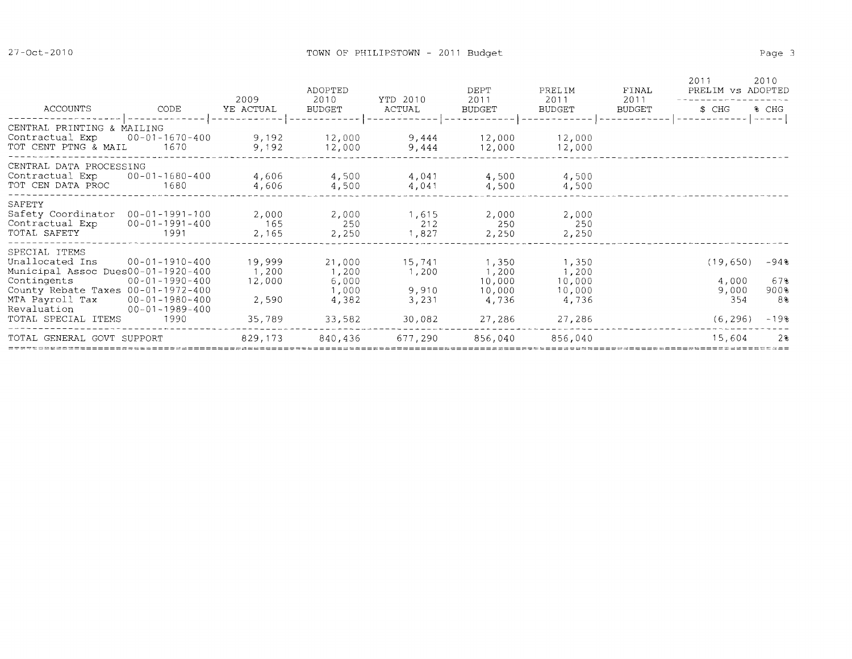|                                                                                                                                                                                        |                                                                                                              | 2009                                         | ADOPTED<br>2010                                      | YTD 2010                                    | <b>DEPT</b><br>2011                                   | PRELIM<br>2011                                        | FINAL<br>2011 | 2011<br>PRELIM VS ADOPTED                      | 2010                                  |
|----------------------------------------------------------------------------------------------------------------------------------------------------------------------------------------|--------------------------------------------------------------------------------------------------------------|----------------------------------------------|------------------------------------------------------|---------------------------------------------|-------------------------------------------------------|-------------------------------------------------------|---------------|------------------------------------------------|---------------------------------------|
| ACCOUNTS                                                                                                                                                                               | CODE                                                                                                         | YE ACTUAL                                    | BUDGET                                               | ACTUAL                                      | BUDGET                                                | BUDGET                                                | <b>BUDGET</b> | \$ CHG                                         | % CHG                                 |
| CENTRAL PRINTING & MAILING<br>Contractual Exp<br>TOT CENT PTNG & MAIL                                                                                                                  | $00 - 01 - 1670 - 400$<br>1670                                                                               | 9,192<br>9,192                               | 12,000<br>12,000                                     | 9,444<br>9,444                              | 12,000<br>12,000                                      | 12,000<br>12,000                                      |               |                                                |                                       |
| CENTRAL DATA PROCESSING<br>Contractual Exp<br>TOT CEN DATA PROC                                                                                                                        | $00 - 01 - 1680 - 400$<br>1680                                                                               | 4,606<br>4,606                               | 4,500<br>4,500                                       | 4,041<br>4,041                              | 4,500<br>4,500                                        | 4,500<br>4,500                                        |               |                                                |                                       |
| SAFETY<br>Safety Coordinator<br>Contractual $Exp$ $00-01-1991-400$<br>TOTAL SAFETY                                                                                                     | $00 - 01 - 1991 - 100$<br>1991                                                                               | 2,000<br>165<br>2,165                        | 2,000<br>250<br>2,250                                | 1,615<br>212<br>1,827                       | 2,000<br>250<br>2,250                                 | 2,000<br>250<br>2,250                                 |               |                                                |                                       |
| SPECIAL ITEMS<br>Unallocated Ins<br>Municipal Assoc Dues00-01-1920-400<br>Contingents<br>County Rebate Taxes $00-01-1972-400$<br>MTA Payroll Tax<br>Revaluation<br>TOTAL SPECIAL ITEMS | $00 - 01 - 1910 - 400$<br>$00 - 01 - 1990 - 400$<br>$00 - 01 - 1980 - 400$<br>$00 - 01 - 1989 - 400$<br>1990 | 19,999<br>1,200<br>12,000<br>2,590<br>35,789 | 21,000<br>1,200<br>6,000<br>1,000<br>4,382<br>33,582 | 15,741<br>1,200<br>9,910<br>3,231<br>30,082 | 1,350<br>1,200<br>10,000<br>10,000<br>4,736<br>27,286 | 1,350<br>1,200<br>10,000<br>10,000<br>4,736<br>27,286 |               | (19, 650)<br>4,000<br>9,000<br>354<br>(6, 296) | $-94%$<br>67%<br>900%<br>8%<br>$-198$ |
| TOTAL GENERAL GOVT SUPPORT                                                                                                                                                             |                                                                                                              | 829,173                                      | 840,436                                              | 677,290                                     | 856,040                                               | 856,040                                               |               | 15,604                                         | 2%                                    |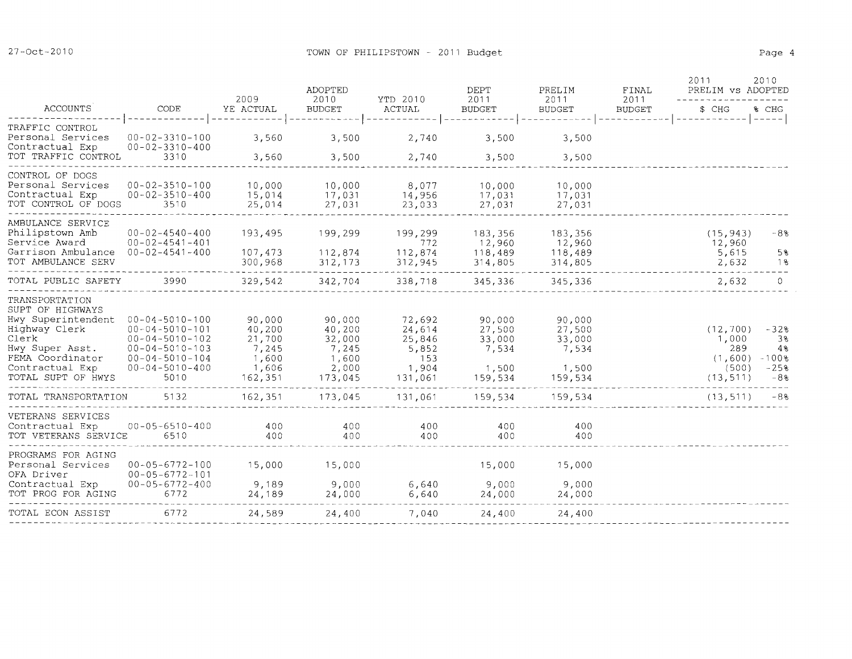|                                                                                                                              |                                                                                                                                                                  | 2009                                                             | ADOPTED<br>2010                                                  | YTD 2010                                                       | DEPT<br>2011                                            | PRELIM<br>2011                                          | FINAL                 | 2011<br>PRELIM VS ADOPTED                                  | 2010                                            |
|------------------------------------------------------------------------------------------------------------------------------|------------------------------------------------------------------------------------------------------------------------------------------------------------------|------------------------------------------------------------------|------------------------------------------------------------------|----------------------------------------------------------------|---------------------------------------------------------|---------------------------------------------------------|-----------------------|------------------------------------------------------------|-------------------------------------------------|
| <b>ACCOUNTS</b>                                                                                                              | CODE                                                                                                                                                             | YE ACTUAL                                                        | <b>BUDGET</b>                                                    | ACTUAL                                                         | <b>BUDGET</b>                                           | <b>BUDGET</b>                                           | 2011<br><b>BUDGET</b> | \$ CHG                                                     | % CHG                                           |
| TRAFFIC CONTROL<br>Personal Services<br>Contractual Exp                                                                      | $00 - 02 - 3310 - 100$<br>$00 - 02 - 3310 - 400$                                                                                                                 | 3,560                                                            | 3,500                                                            | 2,740                                                          | 3,500                                                   | 3,500                                                   |                       |                                                            | $- - - - - -$                                   |
| TOT TRAFFIC CONTROL                                                                                                          | 3310                                                                                                                                                             | 3,560                                                            | 3,500                                                            | 2,740                                                          | 3,500                                                   | 3,500                                                   |                       |                                                            |                                                 |
| CONTROL OF DOGS<br>Personal Services<br>Contractual Exp<br>TOT CONTROL OF DOGS                                               | $00 - 02 - 3510 - 100$<br>$00 - 02 - 3510 - 400$<br>3510                                                                                                         | 10,000<br>15,014<br>25,014                                       | 10,000<br>17,031<br>27,031                                       | 8,077<br>14,956<br>23,033                                      | 10,000<br>17,031<br>27,031                              | 10,000<br>17,031<br>27,031                              |                       |                                                            |                                                 |
| AMBULANCE SERVICE<br>Philipstown Amb<br>Service Award<br>Garrison Ambulance 00-02-4541-400<br>TOT AMBULANCE SERV             | $00 - 02 - 4540 - 400$<br>$00 - 02 - 4541 - 401$                                                                                                                 | 193,495<br>107,473<br>300,968                                    | 199.299<br>112,874<br>312,173                                    | 199,299<br>772<br>112,874<br>312,945                           | 183,356<br>12,960<br>118,489<br>314,805                 | 183,356<br>12,960<br>118,489<br>314,805                 |                       | (15, 943)<br>12,960<br>5,615<br>2,632                      | -8%<br>5%<br>1 %                                |
| TOTAL PUBLIC SAFETY                                                                                                          | 3990                                                                                                                                                             | 329,542                                                          | 342,704                                                          | 338,718                                                        | 345,336                                                 | 345,336                                                 |                       | 2,632                                                      | $\Omega$                                        |
| TRANSPORTATION<br>SUPT OF HIGHWAYS                                                                                           |                                                                                                                                                                  |                                                                  |                                                                  |                                                                |                                                         |                                                         |                       |                                                            |                                                 |
| Hwy Superintendent<br>Highway Clerk<br>Clerk<br>Hwy Super Asst.<br>FEMA Coordinator<br>Contractual Exp<br>TOTAL SUPT OF HWYS | $00 - 04 - 5010 - 100$<br>$00 - 04 - 5010 - 101$<br>$00 - 04 - 5010 - 102$<br>$00 - 04 - 5010 - 103$<br>$00 - 04 - 5010 - 104$<br>$00 - 04 - 5010 - 400$<br>5010 | 90,000<br>40,200<br>21,700<br>7,245<br>1,600<br>1,606<br>162,351 | 90,000<br>40,200<br>32,000<br>7,245<br>1,600<br>2,000<br>173,045 | 72,692<br>24,614<br>25,846<br>5,852<br>153<br>1,904<br>131,061 | 90,000<br>27,500<br>33,000<br>7,534<br>1,500<br>159,534 | 90,000<br>27,500<br>33,000<br>7,534<br>1,500<br>159,534 |                       | (12, 700)<br>1,000<br>289<br>(1,600)<br>(500)<br>(13, 511) | $-32%$<br>38<br>4%<br>$-100$ 8<br>$-25%$<br>-8% |
| TOTAL TRANSPORTATION                                                                                                         | 5132                                                                                                                                                             | 162,351                                                          | 173,045                                                          | 131,061                                                        | 159,534                                                 | 159,534                                                 |                       | (13, 511)                                                  | -88                                             |
| VETERANS SERVICES<br>Contractual Exp<br>TOT VETERANS SERVICE                                                                 | $00 - 05 - 6510 - 400$<br>6510                                                                                                                                   | 400<br>400                                                       | 400<br>400                                                       | 400<br>400                                                     | 400<br>400                                              | 400<br>400                                              |                       |                                                            |                                                 |
| PROGRAMS FOR AGING<br>Personal Services<br>OFA Driver                                                                        | $00 - 05 - 6772 - 100$<br>$00 - 05 - 6772 - 101$                                                                                                                 | 15,000                                                           | 15,000                                                           |                                                                | 15,000                                                  | 15,000                                                  |                       |                                                            |                                                 |
| Contractual Exp<br>TOT PROG FOR AGING                                                                                        | $00 - 05 - 6772 - 400$<br>6772                                                                                                                                   | 9,189<br>24,189                                                  | 9,000<br>24,000                                                  | 6,640<br>6,640                                                 | 9,000<br>24,000                                         | 9,000<br>24,000                                         |                       |                                                            |                                                 |
| TOTAL ECON ASSIST                                                                                                            | 6772                                                                                                                                                             | 24,589                                                           | 24,400                                                           | 7,040                                                          | 24,400                                                  | 24,400                                                  |                       |                                                            |                                                 |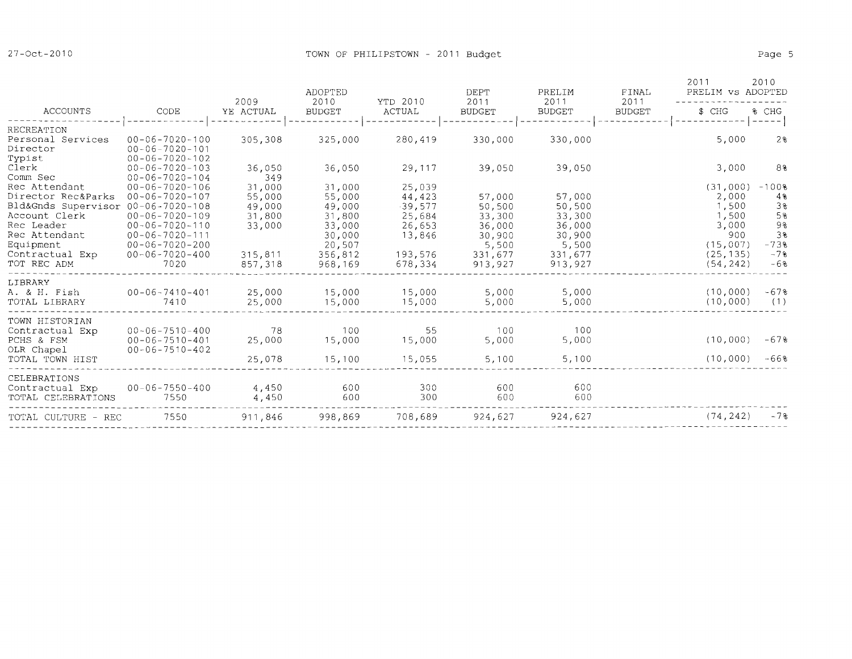|                                    |                                                  | 2009             | ADOPTED<br>2010  | YTD 2010         | DEPT<br>2011  | PRELIM<br>2011 | FINAL<br>2011 | 2011<br>PRELIM VS ADOPTED | 2010           |
|------------------------------------|--------------------------------------------------|------------------|------------------|------------------|---------------|----------------|---------------|---------------------------|----------------|
| ACCOUNTS                           | CODE                                             | YE ACTUAL        | <b>BUDGET</b>    | ACTUAL           | <b>BUDGET</b> | <b>BUDGET</b>  | <b>BUDGET</b> | \$CHG                     | % CHG<br>$---$ |
| <b>RECREATION</b>                  |                                                  |                  |                  |                  |               |                |               |                           |                |
| Personal Services                  | $00 - 06 - 7020 - 100$                           | 305,308          | 325,000          | 280,419          | 330,000       | 330,000        |               | 5,000                     | 2%             |
| Director                           | $00 - 06 - 7020 - 101$                           |                  |                  |                  |               |                |               |                           |                |
| Typist                             | $00 - 06 - 7020 - 102$                           |                  |                  |                  |               |                |               |                           |                |
| Clerk                              | $00 - 06 - 7020 - 103$                           | 36,050           | 36,050           | 29,117           | 39,050        | 39,050         |               | 3,000                     | 8%             |
| Comm Sec<br>Rec Attendant          | $00 - 06 - 7020 - 104$<br>$00 - 06 - 7020 - 106$ | 349              |                  |                  |               |                |               |                           | $-1008$        |
| Director Rec&Parks                 | $00 - 06 - 7020 - 107$                           | 31,000<br>55,000 | 31,000<br>55,000 | 25,039<br>44,423 | 57,000        | 57,000         |               | (31,000)<br>2,000         | 4%             |
| Bld&Gnds Supervisor 00-06-7020-108 |                                                  | 49,000           | 49,000           | $-39,577$        | 50,500        | 50,500         |               | 1,500                     | 3%             |
| Account Clerk                      | $00 - 06 - 7020 - 109$                           | 31,800           | 31,800           | 25,684           | 33,300        | 33,300         |               | 1,500                     | 5%             |
| Rec Leader                         | $00 - 06 - 7020 - 110$                           | 33,000           | 33,000           | 26,653           | 36,000        | 36,000         |               | 3,000                     | 9%             |
| Rec Attendant                      | $00 - 06 - 7020 - 111$                           |                  | 30,000           | 13,846           | 30,900        | 30,900         |               | 900                       | 3%             |
| Equipment                          | $00 - 06 - 7020 - 200$                           |                  | 20,507           |                  | 5,500         | 5,500          |               | (15,007)                  | $-73%$         |
| Contractual Exp                    | $00 - 06 - 7020 - 400$                           | 315,811          | 356,812          | 193,576          | 331,677       | 331,677        |               | (25, 135)                 | $-7$ %         |
| TOT REC ADM                        | 7020                                             | 857,318          | 968,169          | 678,334          | 913,927       | 913,927        |               | (54, 242)                 | -6%            |
| LIBRARY                            |                                                  |                  |                  |                  |               |                |               |                           |                |
| A. & H. Fish                       | $00 - 06 - 7410 - 401$                           | 25,000           | 15,000           | 15,000           | 5,000         | 5,000          |               | (10,000)                  | $-67%$         |
| TOTAL LIBRARY                      | 7410                                             | 25,000           | 15,000           | 15,000           | 5,000         | 5,000          |               | (10,000)                  | (1)            |
| TOWN HISTORIAN                     |                                                  |                  |                  |                  |               |                |               |                           |                |
| Contractual Exp                    | $00 - 06 - 7510 - 400$                           | 78               | 100              | 55               | 100           | 100            |               |                           |                |
| PCHS & FSM                         | $00 - 06 - 7510 - 401$                           | 25,000           | 15,000           | 15,000           | 5,000         | 5,000          |               | (10,000)                  | $-67%$         |
| OLR Chapel                         | $00 - 06 - 7510 - 402$                           |                  |                  |                  |               |                |               |                           |                |
| TOTAL TOWN HIST                    |                                                  | 25,078           | 15,100           | 15,055           | 5,100         | 5,100          |               | (10,000)                  | $-66%$         |
| CELEBRATIONS                       |                                                  |                  |                  |                  |               |                |               |                           |                |
| Contractual Exp                    | $00 - 06 - 7550 - 400$                           | 4,450            | 600              | 300              | 600           | 600            |               |                           |                |
| TOTAL CELEBRATIONS                 | 7550                                             | 4,450            | 600              | 300              | 600           | 600            |               |                           |                |
| TOTAL CULTURE - REC                | 7550                                             | 911,846          | 998,869          | 708,689          | 924,627       | 924,627        |               | (74, 242)                 | $-7%$          |
|                                    |                                                  |                  |                  |                  |               |                |               |                           |                |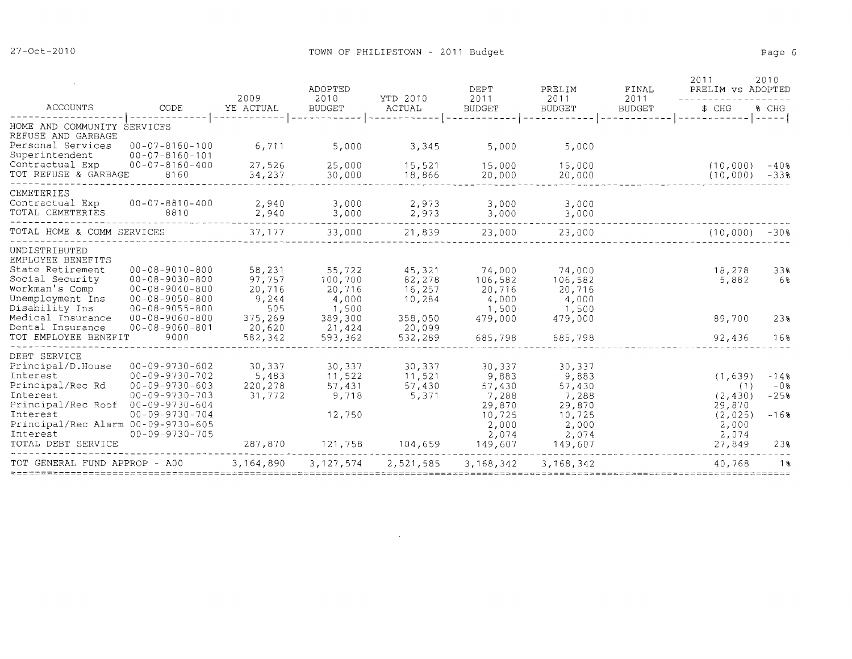|                                                                                  |                                                                                                      | 2009                                | ADOPTED<br>2010                      | YTD 2010                             | <b>DEPT</b><br>2011                  | PRELIM<br>2011                       | FINAL<br>2011 | 2011<br>PRELIM VS ADOPTED             | 2010                         |
|----------------------------------------------------------------------------------|------------------------------------------------------------------------------------------------------|-------------------------------------|--------------------------------------|--------------------------------------|--------------------------------------|--------------------------------------|---------------|---------------------------------------|------------------------------|
| <b>ACCOUNTS</b>                                                                  | CODE                                                                                                 | YE ACTUAL                           | <b>BUDGET</b>                        | ACTUAL                               | <b>BUDGET</b>                        | <b>BUDGET</b>                        | <b>BUDGET</b> | \$ CHG                                | % CHG<br>$1 - - - - 1$       |
| HOME AND COMMUNITY SERVICES<br>REFUSE AND GARBAGE                                |                                                                                                      |                                     |                                      |                                      |                                      |                                      |               |                                       |                              |
| Personal Services<br>Superintendent                                              | $00 - 07 - 8160 - 100$<br>$00 - 07 - 8160 - 101$                                                     | 6,711                               | 5,000                                | 3,345                                | 5,000                                | 5,000                                |               |                                       |                              |
| Contractual Exp<br>TOT REFUSE & GARBAGE                                          | $00 - 07 - 8160 - 400$<br>8160                                                                       | 27,526<br>34,237                    | 25,000<br>30,000                     | 15,521<br>18,866                     | 15,000<br>20,000                     | 15,000<br>20,000                     |               | (10, 000)<br>(10,000)                 | $-40$ <sup>8</sup><br>$-33%$ |
| CEMETERIES                                                                       |                                                                                                      |                                     |                                      |                                      |                                      |                                      |               |                                       |                              |
| Contractual Exp<br>TOTAL CEMETERIES                                              | $00 - 07 - 8810 - 400$<br>8810                                                                       | 2,940<br>2,940                      | 3,000<br>3,000                       | 2,973<br>2,973                       | 3,000<br>3,000                       | 3,000<br>3,000                       |               |                                       |                              |
| TOTAL HOME & COMM SERVICES                                                       |                                                                                                      | 37,177                              | 33,000                               | 21,839                               | 23,000                               | 23,000                               |               | (10, 000)                             | $-30%$                       |
| UNDISTRIBUTED<br>EMPLOYEE BENEFITS                                               |                                                                                                      |                                     |                                      |                                      |                                      |                                      |               |                                       |                              |
| State Retirement<br>Social Security<br>Workman's Comp<br>Unemployment Ins        | $00 - 08 - 9010 - 800$<br>$00 - 08 - 9030 - 800$<br>$00 - 08 - 9040 - 800$<br>$00 - 08 - 9050 - 800$ | 58,231<br>97,757<br>20,716<br>9,244 | 55,722<br>100,700<br>20,716<br>4,000 | 45,321<br>82,278<br>16,257<br>10,284 | 74,000<br>106,582<br>20,716<br>4,000 | 74,000<br>106,582<br>20,716<br>4,000 |               | 18,278<br>5,882                       | 33%<br>68                    |
| Disability Ins<br>Medical Insurance<br>Dental Insurance                          | $00 - 08 - 9055 - 800$<br>$00 - 08 - 9060 - 800$<br>$00 - 08 - 9060 - 801$                           | 505<br>375,269<br>20,620            | 1,500<br>389,300<br>21,424           | 358,050<br>20,099                    | 1,500<br>479,000                     | 1,500<br>479,000                     |               | 89.700                                | 23%                          |
| TOT EMPLOYEE BENEFIT                                                             | 9000                                                                                                 | 582,342                             | 593,362                              | 532,289                              | 685,798                              | 685,798                              |               | 92,436                                | 16%                          |
| DEBT SERVICE<br>Principal/D.House                                                | $00 - 09 - 9730 - 602$                                                                               | 30,337                              | 30,337                               | 30,337                               | 30,337                               | 30.337                               |               |                                       |                              |
| Interest<br>Principal/Rec Rd<br>Interest<br>Principal/Rec Roof                   | $00 - 09 - 9730 - 702$<br>$00 - 09 - 9730 - 603$<br>$00 - 09 - 9730 - 703$<br>$00 - 09 - 9730 - 604$ | 5,483<br>220,278<br>31,772          | 11,522<br>57,431<br>9,718            | 11,521<br>57,430<br>5,371            | 9,883<br>57,430<br>7.288<br>29,870   | 9,883<br>57,430<br>7,288<br>29,870   |               | (1, 639)<br>(1)<br>(2, 430)<br>29,870 | $-148$<br>$-0.8$<br>$-25%$   |
| Interest<br>Principal/Rec Alarm 00-09-9730-605<br>Interest<br>TOTAL DEBT SERVICE | $00 - 09 - 9730 - 704$<br>$00 - 09 - 9730 - 705$                                                     | 287,870                             | 12,750<br>121,758                    | 104,659                              | 10,725<br>2,000<br>2,074<br>149,607  | 10.725<br>2,000<br>2,074<br>149,607  |               | (2,025)<br>2,000<br>2,074<br>27,849   | $-168$<br>23%                |
| TOT GENERAL FUND APPROP - A00                                                    |                                                                                                      | 3,164,890                           | 3, 127, 574                          | 2,521,585                            | 3,168,342                            | 3,168,342                            |               | 40,768                                | 18                           |

 $\mathcal{L}^{\text{max}}_{\text{max}}$  and  $\mathcal{L}^{\text{max}}_{\text{max}}$  and  $\mathcal{L}^{\text{max}}_{\text{max}}$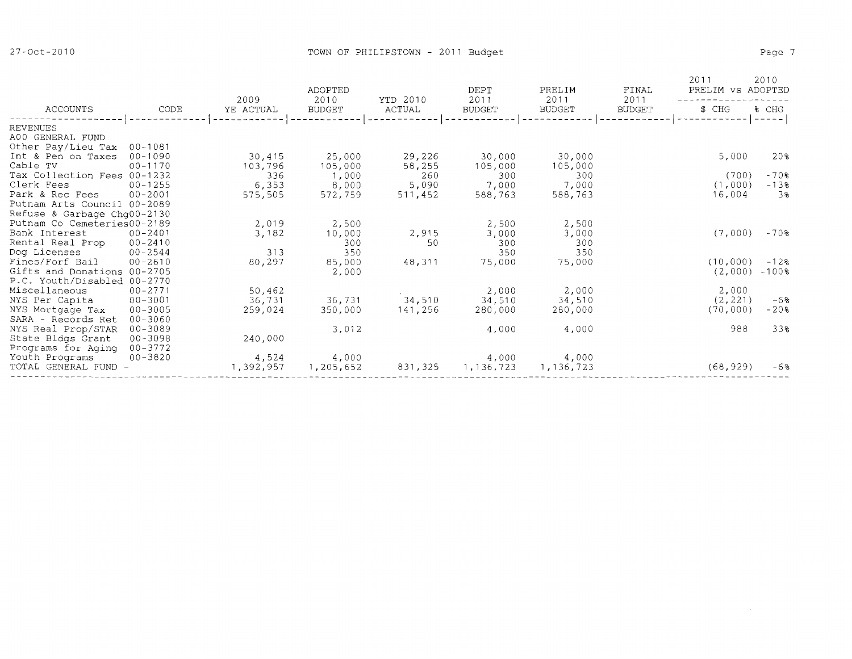|                              |             | 2009      | ADOPTED<br>2010 | YTD 2010 | DEPT<br>2011  | PRELIM<br>2011 | FINAL<br>2011 | 2011<br>PRELIM VS ADOPTED | 2010                 |
|------------------------------|-------------|-----------|-----------------|----------|---------------|----------------|---------------|---------------------------|----------------------|
| ACCOUNTS                     | CODE        | YE ACTUAL | <b>BUDGET</b>   | ACTUAL   | <b>BUDGET</b> | <b>BUDGET</b>  | <b>BUDGET</b> | \$ CHG                    | $8$ CHG<br>$- - - -$ |
| REVENUES<br>A00 GENERAL FUND |             |           |                 |          |               |                |               |                           |                      |
| Other Pay/Lieu Tax           | $00 - 1081$ |           |                 |          |               |                |               |                           |                      |
| Int & Pen on Taxes           | $00 - 1090$ | 30,415    | 25,000          | 29,226   | 30,000        | 30,000         |               | 5,000                     | 20%                  |
| Cable TV                     | $00 - 1170$ | 103,796   | 105,000         | 58,255   | 105,000       | 105,000        |               |                           |                      |
| Tax Collection Fees 00-1232  |             | 336       | 1,000           | 260      | 300           | 300            |               | (700)                     | $-708$               |
| Clerk Fees                   | $00 - 1255$ | 6,353     | 8,000           | 5,090    | 7,000         | 7,000          |               | (1,000)                   | $-138$               |
| Park & Rec Fees              | $00 - 2001$ | 575,505   | 572,759         | 511,452  | 588,763       | 588,763        |               | 16,004                    | 3%                   |
| Putnam Arts Council 00-2089  |             |           |                 |          |               |                |               |                           |                      |
| Refuse & Garbage Chq00-2130  |             |           |                 |          |               |                |               |                           |                      |
| Putnam Co Cemeteries00-2189  |             | 2,019     | 2,500           |          | 2,500         | 2,500          |               |                           |                      |
| Bank Interest                | $00 - 2401$ | 3,182     | 10,000          | 2,915    | 3,000         | 3,000          |               | (7,000)                   | $-70$ $8$            |
| Rental Real Prop             | $00 - 2410$ |           | 300             | 50       | 300           | 300            |               |                           |                      |
| Dog Licenses                 | $00 - 2544$ | 313       | 350             |          | 350           | 350            |               |                           |                      |
| Fines/Forf Bail              | $00 - 2610$ | 80,297    | 85,000          | 48,311   | 75,000        | 75,000         |               | (10,000)                  | $-12%$               |
| Gifts and Donations 00-2705  |             |           | 2,000           |          |               |                |               | (2,000)                   | $-1008$              |
| P.C. Youth/Disabled 00-2770  |             |           |                 |          |               |                |               |                           |                      |
| Miscellaneous                | $00 - 2771$ | 50,462    |                 |          | 2,000         | 2,000          |               | 2,000                     |                      |
| NYS Per Capita               | $00 - 3001$ | 36,731    | 36,731          | 34,510   | 34,510        | 34,510         |               | (2, 221)                  | $-6%$                |
| NYS Mortgage Tax             | $00 - 3005$ | 259,024   | 350,000         | 141,256  | 280,000       | 280,000        |               | (70,000)                  | $-20$ %              |
| SARA - Records Ret           | $00 - 3060$ |           |                 |          |               |                |               |                           |                      |
| NYS Real Prop/STAR           | $00 - 3089$ |           | 3,012           |          | 4,000         | 4,000          |               | 988                       | 33%                  |
| State Bldgs Grant            | $00 - 3098$ | 240,000   |                 |          |               |                |               |                           |                      |
| Programs for Aging           | $00 - 3772$ |           |                 |          |               |                |               |                           |                      |
| Youth Programs               | $00 - 3820$ | 4,524     | 4,000           |          | 4,000         | 4,000          |               |                           |                      |
| TOTAL GENERAL FUND -         |             | 1,392,957 | 1,205,652       | 831,325  | 1,136,723     | 1,136,723      |               | (68, 929)                 | -68                  |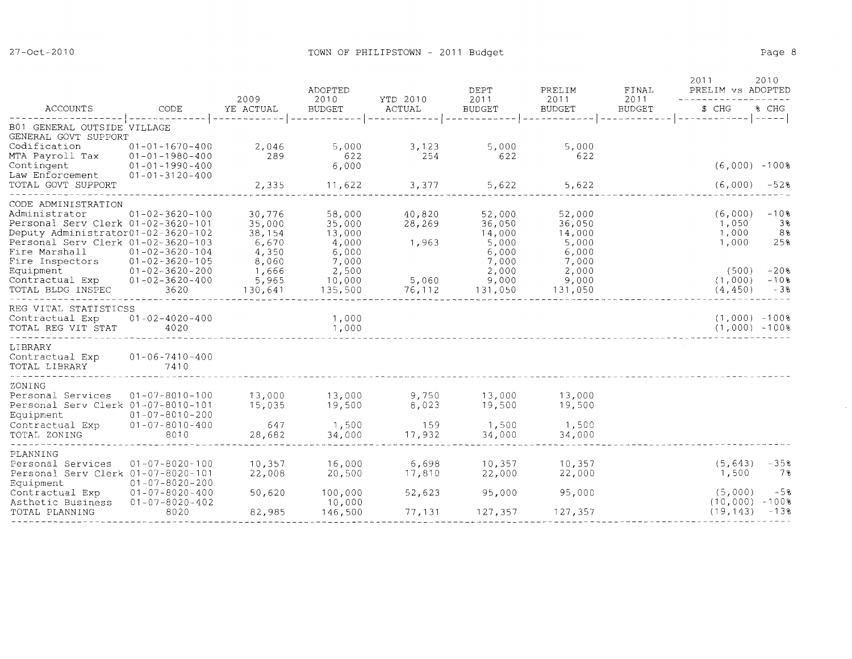$\sim 10$ 

|                                                                                                                                                                                          | 2009                             | ADOPTED<br>2010                  | YTD 2010         | DEPT<br>2011                     | PRELIM<br>2011                   | FINAL<br>2011 | 2011<br>PRELIM vs ADOPTED                          | 2010                        |
|------------------------------------------------------------------------------------------------------------------------------------------------------------------------------------------|----------------------------------|----------------------------------|------------------|----------------------------------|----------------------------------|---------------|----------------------------------------------------|-----------------------------|
| ACCOUNTS<br>CODE                                                                                                                                                                         | YE ACTUAL                        | <b>BUDGET</b>                    | ACTUAL           | <b>BUDGET</b>                    | <b>BUDGET</b>                    | <b>BUDGET</b> | \$ CHG                                             | % CHG                       |
| B01 GENERAL OUTSIDE VILLAGE<br>GENERAL GOVT SUPPORT                                                                                                                                      | ------------                     |                                  |                  |                                  | ------------                     | -----------   |                                                    |                             |
| Codification<br>$01 - 01 - 1670 - 400$<br>MTA Payroll Tax<br>$01 - 01 - 1980 - 400$<br>Contingent<br>$01 - 01 - 1990 - 400$<br>Law Enforcement 01-01-3120-400                            | 2,046<br>289                     | 5,000<br>622<br>6,000            | 3,123<br>254     | 5,000<br>622                     | 5,000<br>622                     |               | $(6,000)$ $-100$ <sup>8</sup>                      |                             |
| TOTAL GOVT SUPPORT                                                                                                                                                                       | 2,335                            | 11,622                           | 3,377            | 5,622                            | 5,622                            |               | (6,000)                                            | $-52%$                      |
| CODE ADMINISTRATION<br>$01 - 02 - 3620 - 100$<br>Administrator<br>Personal Serv Clerk 01-02-3620-101<br>Deputy Administrator01-02-3620-102                                               | 30,776<br>35,000<br>38,154       | 58,000<br>35,000<br>13,000       | 40,820<br>28,269 | 52,000<br>36,050<br>14,000       | 52,000<br>36,050<br>14,000       |               | (6,000)<br>1,050<br>1,000                          | $-10%$<br>38<br>8%          |
| Personal Serv Clerk 01-02-3620-103<br>$01 - 02 - 3620 - 104$<br>Fire Marshall<br>Fire Inspectors<br>$01 - 02 - 3620 - 105$<br>Equipment 01-02-3620-200<br>Contractual Exp 01-02-3620-400 | 6,670<br>4,350<br>8,060<br>1,666 | 4,000<br>6,000<br>7,000<br>2,500 | 1,963            | 5,000<br>6,000<br>7,000<br>2,000 | 5,000<br>6,000<br>7,000<br>2,000 |               | 1,000<br>(500)                                     | 25%<br>$-20%$               |
| TOTAL BLDG INSPEC<br>3620                                                                                                                                                                | 5,965<br>130,641                 | 10,000<br>135,500                | 5,060<br>76,112  | 9,000<br>131,050                 | 9,000<br>131,050                 |               | (1,000)<br>(4, 450)                                | $-108$<br>-38               |
| REG VITAL STATISTICSS<br>Contractual Exp<br>$01 - 02 - 4020 - 400$<br>TOTAL REG VIT STAT<br>4020                                                                                         |                                  | 1,000<br>1,000                   |                  |                                  |                                  |               | $(1,000)$ $-100$ <sup>8</sup><br>$(1,000) - 100$ % |                             |
| LIBRARY<br>Contractual Exp<br>$01 - 06 - 7410 - 400$<br>7410<br>TOTAL LIBRARY                                                                                                            |                                  |                                  |                  |                                  |                                  |               |                                                    |                             |
| ZONING<br>Personal Services<br>$01 - 07 - 8010 - 100$<br>Personal Serv Clerk 01-07-8010-101<br>Equipment<br>$01 - 07 - 8010 - 200$                                                       | 13,000<br>15,035                 | 13,000<br>19,500                 | 9,750<br>8,023   | 13,000<br>19,500                 | 13,000<br>19,500                 |               |                                                    |                             |
| $01 - 07 - 8010 - 400$<br>Contractual Exp<br>TOTAL ZONING<br>8010                                                                                                                        | 647<br>28,682                    | 1,500<br>34,000                  | 159<br>17,932    | 1,500<br>34,000                  | 1,500<br>34,000                  |               |                                                    |                             |
| PLANNING<br>$01 - 07 - 8020 - 100$<br>Personal Services<br>Personal Serv Clerk 01-07-8020-101<br>Equipment<br>$01 - 07 - 8020 - 200$                                                     | 10,357<br>22,008                 | 16,000<br>20,500                 | 6,698<br>17,810  | 10,357<br>22,000                 | 10,357<br>22,000                 |               | (5, 643)<br>1,500                                  | $-35%$<br>78                |
| Contractual Exp 01-07-8020-400<br>$01 - 07 - 8020 - 402$<br>Asthetic Business<br>8020<br>TOTAL PLANNING                                                                                  | 50,620<br>82,985                 | 100,000<br>10,000<br>146,500     | 52,623<br>77,131 | 95,000<br>127,357                | 95,000<br>127,357                |               | (5,000)<br>(10, 000)<br>(19, 143)                  | $-5%$<br>$-100$ 8<br>$-138$ |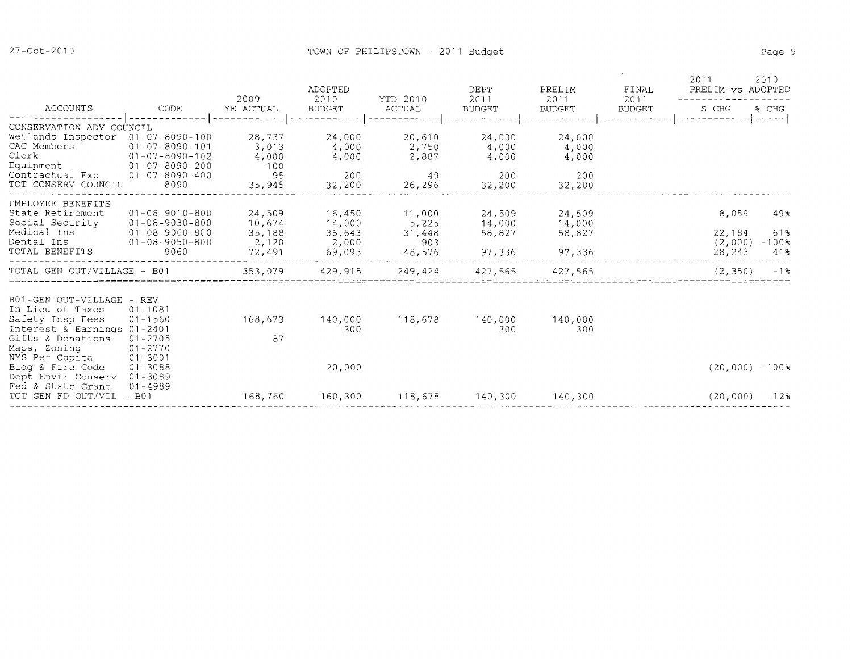|                                                                                                                                                         |                                                                                                                                | 2009                                          | ADOPTED<br>2010                               | YTD 2010                                   | <b>DEPT</b><br>2011                  | PRELIM<br>2011                       | FINAL<br>2011 | 2011<br>PRELIM VS ADOPTED            | 2010                         |
|---------------------------------------------------------------------------------------------------------------------------------------------------------|--------------------------------------------------------------------------------------------------------------------------------|-----------------------------------------------|-----------------------------------------------|--------------------------------------------|--------------------------------------|--------------------------------------|---------------|--------------------------------------|------------------------------|
| ACCOUNTS                                                                                                                                                | CODE                                                                                                                           | YE ACTUAL                                     | <b>BUDGET</b>                                 | ACTUAL                                     | <b>BUDGET</b>                        | <b>BUDGET</b>                        | <b>BUDGET</b> | \$ CHG                               | % CHG                        |
| CONSERVATION ADV COUNCIL<br>Wetlands Inspector<br>CAC Members<br>Clerk<br>Equipment<br>Contractual Exp                                                  | $01 - 07 - 8090 - 100$<br>$01 - 07 - 8090 - 101$<br>$01 - 07 - 8090 - 102$<br>$01 - 07 - 8090 - 200$<br>$01 - 07 - 8090 - 400$ | 28,737<br>3,013<br>4,000<br>100<br>95         | 24,000<br>4,000<br>4,000<br>200               | 20,610<br>2,750<br>2,887<br>49             | 24,000<br>4,000<br>4,000<br>200      | 24,000<br>4,000<br>4,000<br>200      |               |                                      | $- - - - - -$                |
| TOT CONSERV COUNCIL                                                                                                                                     | 8090                                                                                                                           | 35,945                                        | 32,200                                        | 26,296                                     | 32,200                               | 32,200                               |               |                                      |                              |
| EMPLOYEE BENEFITS<br>State Retirement<br>Social Security<br>Medical Ins<br>Dental Ins<br>TOTAL BENEFITS                                                 | $01 - 08 - 9010 - 800$<br>$01 - 08 - 9030 - 800$<br>$01 - 08 - 9060 - 800$<br>$01 - 08 - 9050 - 800$<br>9060                   | 24,509<br>10.674<br>35,188<br>2,120<br>72,491 | 16,450<br>14,000<br>36,643<br>2,000<br>69,093 | 11,000<br>5,225<br>31,448<br>903<br>48,576 | 24,509<br>14,000<br>58,827<br>97,336 | 24,509<br>14,000<br>58,827<br>97,336 |               | 8,059<br>22,184<br>(2,000)<br>28,243 | 49%<br>618<br>$-1008$<br>418 |
| TOTAL GEN OUT/VILLAGE - B01                                                                                                                             |                                                                                                                                | 353,079                                       | 429.915                                       | 249,424                                    | 427,565                              | 427,565                              |               | (2, 350)                             | $-1$ <sup>8</sup>            |
| B01-GEN OUT-VILLAGE - REV<br>In Lieu of Taxes<br>Safety Insp Fees<br>Interest & Earnings 01-2401<br>Gifts & Donations<br>Maps, Zoning<br>NYS Per Capita | $01 - 1081$<br>$01 - 1560$<br>$01 - 2705$<br>$01 - 2770$<br>$01 - 3001$                                                        | 168,673<br>87                                 | 140,000<br>300                                | 118,678                                    | 140,000<br>300                       | 140,000<br>300                       |               |                                      |                              |
| Bldg & Fire Code<br>Dept Envir Conserv<br>Fed & State Grant<br>TOT GEN FD OUT/VIL - B01                                                                 | $01 - 3088$<br>$01 - 3089$<br>$01 - 4989$                                                                                      | 168,760                                       | 20,000<br>160,300                             | 118,678                                    | 140,300                              | 140,300                              |               | (20, 000)                            | $(20,000)$ -100%<br>$-128$   |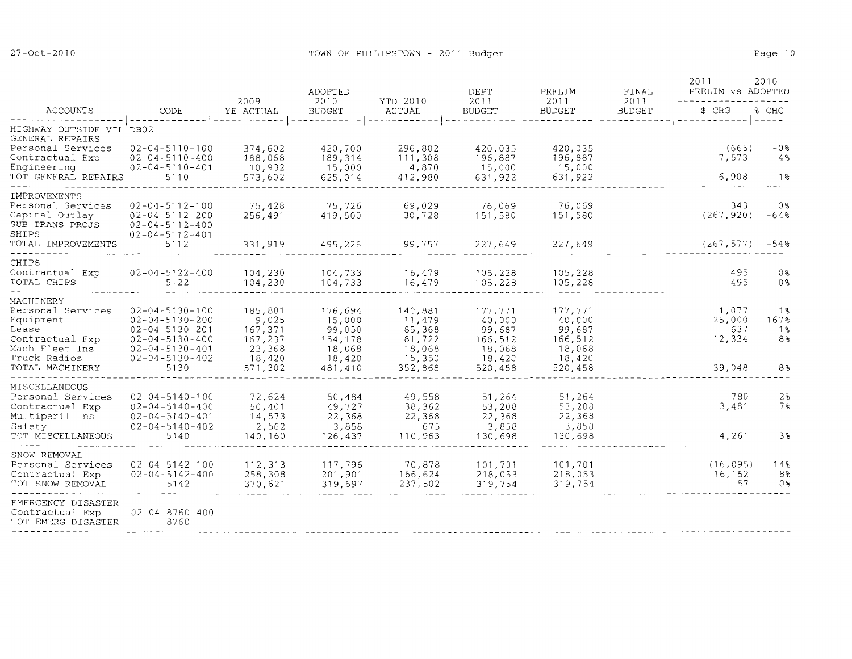| ACCOUNTS                                                                                                                     |                                                                                                                                                                  |                                                                       | ADOPTED<br>2010                                                       | YTD 2010                                                             | <b>DEPT</b><br>2011<br><b>BUDGET</b>                                  | PRELIM<br>2011                                                        | FINAL                 | 2011<br>2010<br>PRELIM VS ADOPTED          |                                 |
|------------------------------------------------------------------------------------------------------------------------------|------------------------------------------------------------------------------------------------------------------------------------------------------------------|-----------------------------------------------------------------------|-----------------------------------------------------------------------|----------------------------------------------------------------------|-----------------------------------------------------------------------|-----------------------------------------------------------------------|-----------------------|--------------------------------------------|---------------------------------|
|                                                                                                                              | CODE                                                                                                                                                             | 2009<br>YE ACTUAL                                                     | <b>BUDGET</b>                                                         | <b>ACTUAL</b>                                                        |                                                                       | <b>BUDGET</b>                                                         | 2011<br><b>BUDGET</b> | \$ CHG                                     | <sub>ቼ</sub> CHG                |
| HIGHWAY OUTSIDE VIL DB02<br>GENERAL REPAIRS                                                                                  |                                                                                                                                                                  |                                                                       | $- - - - - -$                                                         |                                                                      | $22 - 22 - 22$                                                        | $\frac{1}{2}$                                                         | .                     |                                            |                                 |
| Personal Services<br>Contractual Exp<br>Engineering                                                                          | $02 - 04 - 5110 - 100$<br>$02 - 04 - 5110 - 400$<br>$02 - 04 - 5110 - 401$                                                                                       | 374,602<br>188,068                                                    | 420,700<br>189,314<br>15,000                                          | 296.802<br>111,308                                                   | 420,035<br>196,887                                                    | 420,035<br>196,887<br>15,000                                          |                       | (665)<br>7,573                             | $-0$ %<br>4%                    |
| TOT GENERAL REPAIRS                                                                                                          | 5110                                                                                                                                                             | 10,932<br>573,602                                                     | 625,014                                                               | 4,870<br>412,980                                                     | 15,000<br>631,922                                                     | 631,922                                                               |                       | 6,908                                      | 1%                              |
| IMPROVEMENTS<br>Personal Services<br>Capital Outlay<br>SUB TRANS PROJS<br>SHIPS                                              | $02 - 04 - 5112 - 100$<br>$02 - 04 - 5112 - 200$<br>$02 - 04 - 5112 - 400$<br>$02 - 04 - 5112 - 401$                                                             | 75,428<br>256,491                                                     | 75,726<br>419,500                                                     | 69,029<br>30,728                                                     | 76,069<br>151,580                                                     | 76,069<br>151,580                                                     |                       | 343<br>(267, 920)                          | 0%<br>$-64%$                    |
| TOTAL IMPROVEMENTS                                                                                                           | 5112                                                                                                                                                             | 331,919                                                               | 495,226                                                               | 99,757                                                               | 227,649                                                               | 227,649                                                               |                       | (267, 577)                                 | $-54%$                          |
| CHIPS<br>Contractual Exp<br>TOTAL CHIPS                                                                                      | $02 - 04 - 5122 - 400$<br>5122                                                                                                                                   | 104,230<br>104,230                                                    | 104,733<br>104,733                                                    | 16,479<br>16,479                                                     | 105,228<br>105,228                                                    | 105,228<br>105,228                                                    |                       | 495<br>495                                 | 08<br>08                        |
| MACHINERY<br>Personal Services<br>Equipment<br>Lease<br>Contractual Exp<br>Mach Fleet Ins<br>Truck Radios<br>TOTAL MACHINERY | $02 - 04 - 5130 - 100$<br>$02 - 04 - 5130 - 200$<br>$02 - 04 - 5130 - 201$<br>$02 - 04 - 5130 - 400$<br>$02 - 04 - 5130 - 401$<br>$02 - 04 - 5130 - 402$<br>5130 | 185,881<br>9,025<br>167,371<br>167,237<br>23,368<br>18,420<br>571,302 | 176,694<br>15,000<br>99,050<br>154,178<br>18,068<br>18,420<br>481,410 | 140,881<br>11,479<br>85,368<br>81,722<br>18,068<br>15,350<br>352,868 | 177,771<br>40,000<br>99,687<br>166,512<br>18,068<br>18,420<br>520,458 | 177,771<br>40,000<br>99,687<br>166,512<br>18,068<br>18,420<br>520,458 |                       | 1,077<br>25,000<br>637<br>12,334<br>39,048 | 18<br>167%<br>18<br>$8\%$<br>8% |
| MISCELLANEOUS<br>Personal Services<br>Contractual Exp<br>Multiperil Ins<br>Safety<br>TOT MISCELLANEOUS                       | $02 - 04 - 5140 - 100$<br>$02 - 04 - 5140 - 400$<br>$02 - 04 - 5140 - 401$<br>$02 - 04 - 5140 - 402$<br>5140                                                     | 72,624<br>50,401<br>14,573<br>2,562<br>140,160                        | 50,484<br>49,727<br>22,368<br>3,858<br>126,437                        | 49,558<br>38,362<br>22,368<br>675<br>110,963                         | 51,264<br>53,208<br>22,368<br>3,858<br>130,698                        | 51,264<br>53,208<br>22,368<br>3,858<br>130,698                        |                       | 780<br>3,481<br>4,261                      | 2%<br>7%<br>38                  |
| SNOW REMOVAL<br>Personal Services<br>Contractual Exp<br>TOT SNOW REMOVAL                                                     | $02 - 04 - 5142 - 100$<br>$02 - 04 - 5142 - 400$<br>5142                                                                                                         | 112, 313<br>258,308<br>370,621                                        | 117,796<br>201,901<br>319,697                                         | 70,878<br>166,624<br>237,502                                         | 101,701<br>218,053<br>319,754                                         | 101,701<br>218,053<br>319,754                                         |                       | (16, 095)<br>16,152<br>57                  | $-148$<br>88<br>0%              |
| EMERGENCY DISASTER<br>Contractual Exp<br>TOT EMERG DISASTER                                                                  | $02 - 04 - 8760 - 400$<br>8760                                                                                                                                   |                                                                       |                                                                       |                                                                      |                                                                       |                                                                       |                       |                                            |                                 |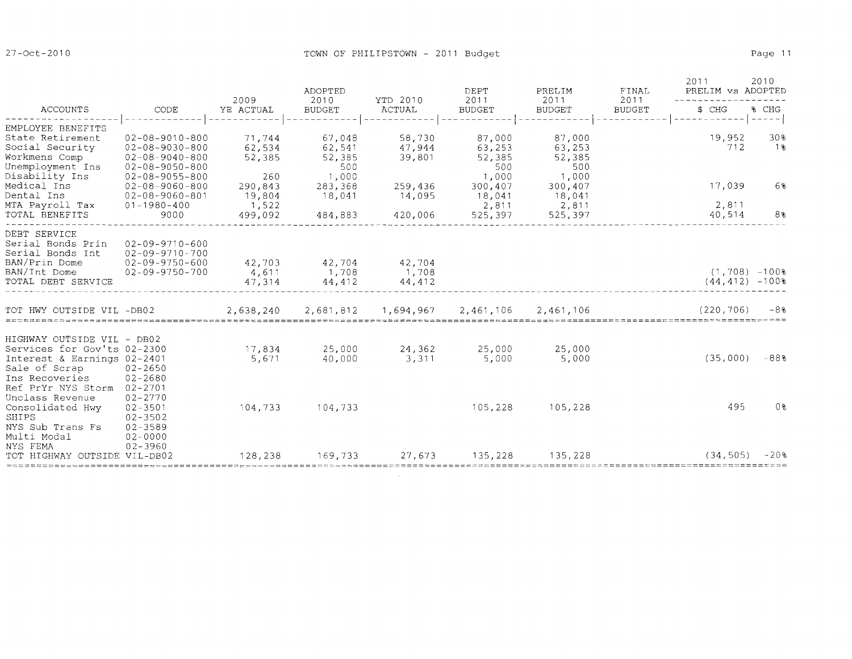|                                                                                                                             |                                                                                                                                   |                                              | ADOPTED                                      | YTD 2010                     | <b>DEPT</b><br>2011<br><b>BUDGET</b>                  | PRELIM<br>2011                                        | <b>FINAL</b><br>2011 | 2011<br>PRELIM VS ADOPTED               | 2010                                                |
|-----------------------------------------------------------------------------------------------------------------------------|-----------------------------------------------------------------------------------------------------------------------------------|----------------------------------------------|----------------------------------------------|------------------------------|-------------------------------------------------------|-------------------------------------------------------|----------------------|-----------------------------------------|-----------------------------------------------------|
| ACCOUNTS                                                                                                                    | CODE                                                                                                                              | 2009<br>YE ACTUAL                            | 2010<br><b>BUDGET</b>                        | ACTUAL                       |                                                       | <b>BUDGET</b>                                         | <b>BUDGET</b>        | \$ CHG                                  | % CHG<br>$\omega$ $\omega$ $\omega$ $\omega$ $\sim$ |
| EMPLOYEE BENEFITS<br>State Retirement<br>Social Security<br>Workmens Comp                                                   | $02 - 08 - 9010 - 800$<br>$02 - 08 - 9030 - 800$<br>$02 - 08 - 9040 - 800$                                                        | 71,744<br>62,534<br>52,385                   | 67,048<br>62,541<br>52,385                   | 58,730<br>47,944<br>39,801   | 87,000<br>63,253<br>52,385                            | 87,000<br>63,253<br>52,385                            |                      | 19,952<br>712                           | 30%<br>1%                                           |
| Unemployment Ins<br>Disability Ins<br>Medical Ins<br>Dental Ins<br>MTA Payroll Tax<br>TOTAL BENEFITS                        | $02 - 08 - 9050 - 800$<br>$02 - 08 - 9055 - 800$<br>$02 - 08 - 9060 - 800$<br>$02 - 08 - 9060 - 801$<br>$01 - 1980 - 400$<br>9000 | 260<br>290,843<br>19,804<br>1,522<br>499,092 | 500<br>1,000<br>283,368<br>18,041<br>484,883 | 259,436<br>14,095<br>420,006 | 500<br>1,000<br>300,407<br>18,041<br>2,811<br>525,397 | 500<br>1,000<br>300,407<br>18,041<br>2,811<br>525,397 |                      | 17,039<br>2,811<br>40,514               | 6%<br>8%                                            |
| DEBT SERVICE<br>Serial Bonds Prin<br>Serial Bonds Int<br>BAN/Prin Dome<br>BAN/Int Dome<br>TOTAL DEBT SERVICE                | $02 - 09 - 9710 - 600$<br>$02 - 09 - 9710 - 700$<br>$02 - 09 - 9750 - 600$<br>$02 - 09 - 9750 - 700$                              | 42,703<br>4,611<br>47,314                    | 42,704<br>1,708<br>44,412                    | 42,704<br>1,708<br>44,412    |                                                       |                                                       |                      | $(1, 708)$ $-1008$<br>$(44, 412)$ -100% |                                                     |
| TOT HWY OUTSIDE VIL -DB02                                                                                                   |                                                                                                                                   | 2,638,240                                    | 2.681.812                                    | 1,694,967                    | 2.461.106                                             | 2.461.106                                             |                      | (220.706)                               | $-8%$                                               |
| HIGHWAY OUTSIDE VIL - DB02<br>Services for Gov'ts 02-2300<br>Interest & Earnings 02-2401<br>Sale of Scrap<br>Ins Recoveries | $02 - 2650$<br>$02 - 2680$                                                                                                        | 17,834<br>5,671                              | 25,000<br>40,000                             | 24,362<br>3,311              | 25,000<br>5,000                                       | 25,000<br>5,000                                       |                      | (35,000)                                | $-88%$                                              |
| Ref PrYr NYS Storm 02-2701<br>Unclass Revenue<br>Consolidated Hwy<br>SHIPS<br>NYS Sub Trans Fs<br>Multi Modal               | $02 - 2770$<br>$02 - 3501$<br>$02 - 3502$<br>$02 - 3589$<br>$02 - 0000$                                                           | 104,733                                      | 104,733                                      |                              | 105,228                                               | 105,228                                               |                      | 495                                     | 0 <sub>3</sub>                                      |
| NYS FEMA<br>TOT HIGHWAY OUTSIDE VIL-DB02                                                                                    | $02 - 3960$                                                                                                                       | 128,238                                      | 169,733                                      | 27,673                       | 135,228                                               | 135,228                                               |                      | (34, 505)                               | $-20$ 8                                             |

 $\mathcal{L}^{\mathcal{L}}(\mathcal{L}^{\mathcal{L}})$  . Let  $\mathcal{L}^{\mathcal{L}}(\mathcal{L}^{\mathcal{L}})$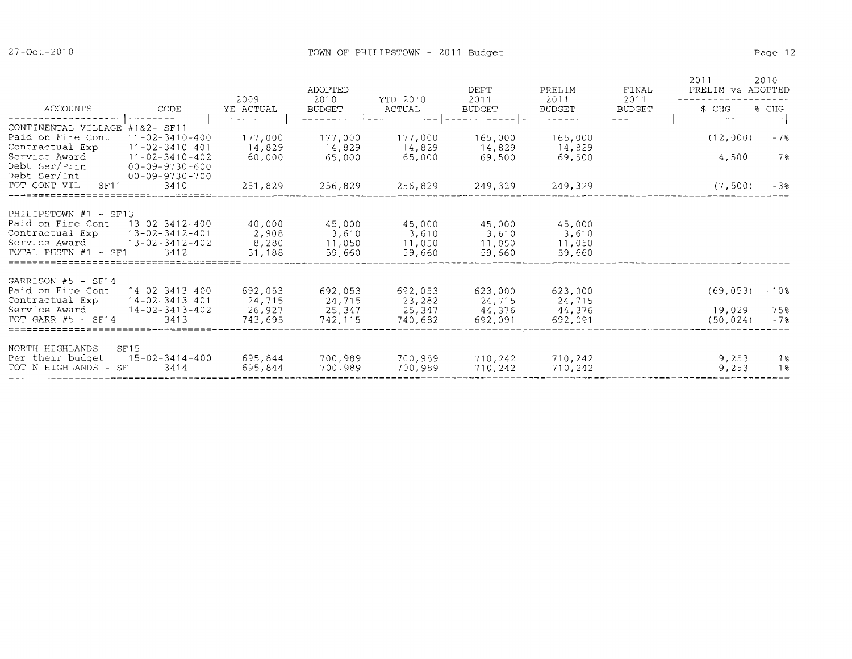|                                                                        |                                                                            |                          | ADOPTED                   | YTD 2010<br><b>ACTUAL</b>    | <b>DEPT</b>               | PRELIM                    | FINAL                 | 2011<br>PRELIM VS ADOPTED | 2010         |
|------------------------------------------------------------------------|----------------------------------------------------------------------------|--------------------------|---------------------------|------------------------------|---------------------------|---------------------------|-----------------------|---------------------------|--------------|
| ACCOUNTS                                                               | CODE                                                                       | 2009<br>YE ACTUAL        | 2010<br><b>BUDGET</b>     |                              | 2011<br><b>BUDGET</b>     | 2011<br><b>BUDGET</b>     | 2011<br><b>BUDGET</b> | \$ CHG                    | % CHG        |
| CONTINENTAL VILLAGE #1&2- SF11<br>Paid on Fire Cont<br>Contractual Exp | $11 - 02 - 3410 - 400$<br>$11 - 02 - 3410 - 401$                           | 177,000<br>14,829        | 177,000<br>14,829         | 177,000<br>14,829            | 165,000<br>14,829         | 165,000<br>14,829         |                       | (12,000)                  | $-7%$        |
| Service Award<br>Debt Ser/Prin<br>Debt Ser/Int                         | $11 - 02 - 3410 - 402$<br>$00 - 09 - 9730 - 600$<br>$00 - 09 - 9730 - 700$ | 60,000                   | 65,000                    | 65,000                       | 69,500                    | 69,500                    |                       | 4,500                     | 7%           |
| TOT CONT VIL - SF11                                                    | 3410                                                                       | 251,829                  | 256,829                   | 256,829                      | 249,329                   | 249,329                   |                       | (7, 500)                  | $-3%$        |
| PHILIPSTOWN #1 - SF13<br>Paid on Fire Cont                             | 13-02-3412-400                                                             | 40.000                   | 45,000                    | 45,000                       | 45,000                    | 45,000                    |                       |                           |              |
| Contractual Exp<br>Service Award<br>TOTAL PHSTN #1 - SF1               | $13 - 02 - 3412 - 401$<br>$13 - 02 - 3412 - 402$<br>3412                   | 2,908<br>8,280<br>51,188 | 3,610<br>11,050<br>59,660 | $-3,610$<br>11,050<br>59,660 | 3,610<br>11,050<br>59,660 | 3,610<br>11,050<br>59,660 |                       |                           |              |
| GARRISON $#5 - ST14$                                                   |                                                                            |                          |                           |                              |                           |                           |                       |                           |              |
| Paid on Fire Cont<br>Contractual Exp                                   | $14 - 02 - 3413 - 400$<br>$14 - 02 - 3413 - 401$                           | 692.053<br>24.715        | 692,053<br>24,715         | 692,053<br>23,282            | 623,000<br>24,715         | 623,000<br>24,715         |                       | (69, 053)                 | $-10$ %      |
| Service Award<br>TOT GARR $#5 - SF14$                                  | $14 - 02 - 3413 - 402$<br>3413                                             | 26,927<br>743.695        | 25,347<br>742.115         | 25,347<br>740.682            | 44,376<br>692,091         | 44,376<br>692.091         |                       | 19,029<br>(50.024)        | 75%<br>$-7%$ |
| NORTH HIGHLANDS - SF15                                                 |                                                                            |                          |                           |                              |                           |                           |                       |                           |              |
| Per their budget<br>TOT N HIGHLANDS - SF                               | $15 - 02 - 3414 - 400$<br>3414                                             | 695,844<br>695.844       | 700.989<br>700,989        | 700,989<br>700,989           | 710,242<br>710,242        | 710,242<br>710,242        |                       | 9,253<br>9,253            | $1\%$<br>18  |
|                                                                        |                                                                            |                          |                           |                              |                           |                           |                       |                           |              |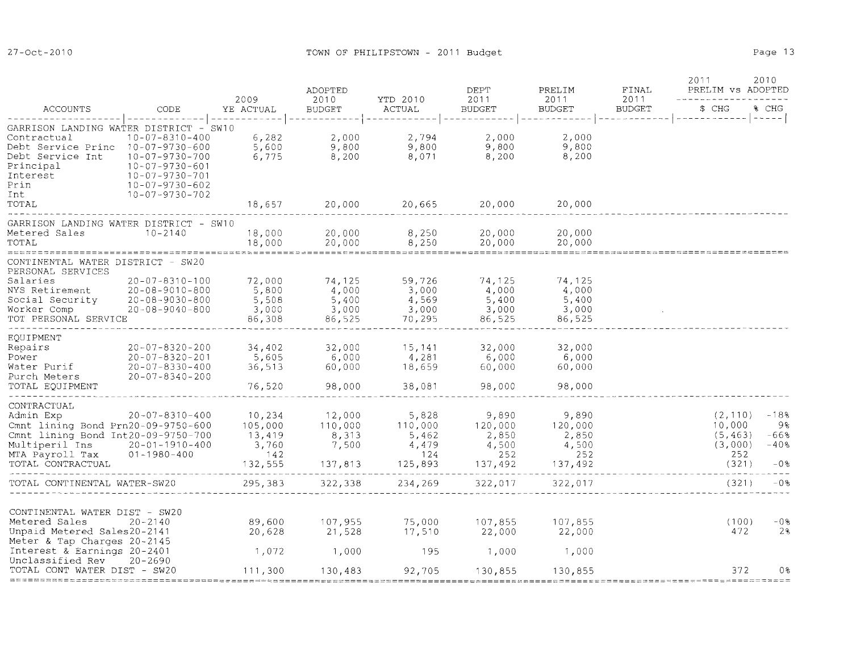|                                                                                                                                                                               |                                                                                                                                                             |                                                        | ADOPTED                                        |                                                      | <b>DEPT</b>                                          | PRELIM                                               | FINAL                 | 2011<br>PRELIM VS ADOPTED                                 | 2010                                       |
|-------------------------------------------------------------------------------------------------------------------------------------------------------------------------------|-------------------------------------------------------------------------------------------------------------------------------------------------------------|--------------------------------------------------------|------------------------------------------------|------------------------------------------------------|------------------------------------------------------|------------------------------------------------------|-----------------------|-----------------------------------------------------------|--------------------------------------------|
| <b>ACCOUNTS</b>                                                                                                                                                               | CODE                                                                                                                                                        | 2009<br>YE ACTUAL                                      | 2010<br><b>BUDGET</b>                          | YTD 2010<br>ACTUAL                                   | 2011<br><b>BUDGET</b>                                | 2011<br><b>BUDGET</b>                                | 2011<br><b>BUDGET</b> | \$ CHG                                                    | % CHG                                      |
| GARRISON LANDING WATER DISTRICT - SW10<br>Contractual<br>Debt Service Princ 10-07-9730-600<br>Debt Service Int<br>Principal<br>Interest<br>Prin<br>Int                        | -------<br>$10 - 07 - 8310 - 400$<br>10-07-9730-700<br>$10 - 07 - 9730 - 601$<br>$10 - 07 - 9730 - 701$<br>$10 - 07 - 9730 - 602$<br>$10 - 07 - 9730 - 702$ | 6,282<br>5,600<br>6,775                                | 2,000<br>9,800<br>8,200                        | 2,794<br>9,800<br>8,071                              | 2,000<br>9,800<br>8,200                              | 2,000<br>9,800<br>8,200                              |                       |                                                           |                                            |
| TOTAL                                                                                                                                                                         |                                                                                                                                                             | 18,657                                                 | 20,000                                         | 20,665                                               | 20,000                                               | 20,000                                               |                       |                                                           |                                            |
| GARRISON LANDING WATER DISTRICT - SW10<br>Metered Sales<br>TOTAL                                                                                                              | $10 - 2140$                                                                                                                                                 | 18,000<br>18,000                                       | 20,000<br>20,000                               | 8,250<br>8,250                                       | 20,000<br>20,000                                     | 20,000<br>20,000                                     |                       |                                                           |                                            |
| 8CC#P=582AAAAAA&±======&&======<br>CONTINENTAL WATER DISTRICT - SW20<br>PERSONAL SERVICES                                                                                     |                                                                                                                                                             | ======================                                 |                                                |                                                      |                                                      |                                                      |                       |                                                           |                                            |
| Salaries<br>NYS Retirement<br>Social Security<br>Worker Comp<br>TOT PERSONAL SERVICE                                                                                          | $20 - 07 - 8310 - 100$<br>20-08-9010-800<br>20-08-9030-800<br>$20 - 08 - 9040 - 800$                                                                        | 72,000<br>5,800<br>5,508<br>3,000<br>86,308            | 74,125<br>4,000<br>5,400<br>3,000<br>86,525    | 59,726<br>3,000<br>4,569<br>3,000<br>70,295          | 74,125<br>4,000<br>5,400<br>3,000<br>86,525          | 74,125<br>4,000<br>5,400<br>3,000<br>86,525          |                       |                                                           |                                            |
| EOUIPMENT<br>Repairs<br>Power<br>Water Purif<br>Purch Meters<br>TOTAL EQUIPMENT                                                                                               | $20 - 07 - 8320 - 200$<br>$20 - 07 - 8320 - 201$<br>$20 - 07 - 8330 - 400$<br>$20 - 07 - 8340 - 200$                                                        | 34,402<br>5,605<br>36,513<br>76,520                    | 32,000<br>6,000<br>60,000<br>98,000            | 15,141<br>4,281<br>18,659<br>38,081                  | 32,000<br>6,000<br>60,000<br>98,000                  | 32,000<br>6,000<br>60,000<br>98,000                  |                       |                                                           |                                            |
| CONTRACTUAL<br>Admin Exp<br>Cmnt lining Bond Prn20-09-9750-600<br>Cmnt lining Bond Int20-09-9750-700<br>Multiperil Ins 20-01-1910-400<br>MTA Payroll Tax<br>TOTAL CONTRACTUAL | $20 - 07 - 8310 - 400$<br>$01 - 1980 - 400$                                                                                                                 | 10,234<br>105,000<br>13,419<br>3,760<br>142<br>132,555 | 12,000<br>110,000<br>8,313<br>7,500<br>137,813 | 5,828<br>110,000<br>5,462<br>4,479<br>124<br>125,893 | 9,890<br>120,000<br>2,850<br>4,500<br>252<br>137,492 | 9,890<br>120,000<br>2,850<br>4,500<br>252<br>137,492 |                       | (2, 110)<br>10,000<br>(5, 463)<br>(3,000)<br>252<br>(321) | $-188$<br>98<br>$-66%$<br>$-40%$<br>$-0.8$ |
| TOTAL CONTINENTAL WATER-SW20                                                                                                                                                  |                                                                                                                                                             | 295,383                                                | 322,338                                        | 234,269                                              | 322,017                                              | 322,017                                              |                       | (321)                                                     | $-0.8$                                     |
| CONTINENTAL WATER DIST - SW20<br>Metered Sales<br>Unpaid Metered Sales20-2141<br>Meter & Tap Charges 20-2145<br>Interest & Earnings 20-2401                                   | $20 - 2140$                                                                                                                                                 | 89,600<br>20,628<br>1,072                              | 107,955<br>21,528<br>1,000                     | 75,000<br>17,510<br>195                              | 107,855<br>22,000<br>1,000                           | 107,855<br>22,000<br>1,000                           |                       | (100)<br>472                                              | $-0.8$<br>2%                               |
| Unclassified Rev<br>TOTAL CONT WATER DIST - SW20                                                                                                                              | $20 - 2690$                                                                                                                                                 | 111,300                                                | 130,483                                        | 92,705                                               | 130,855                                              | 130,855                                              |                       | 372                                                       | 0 왕                                        |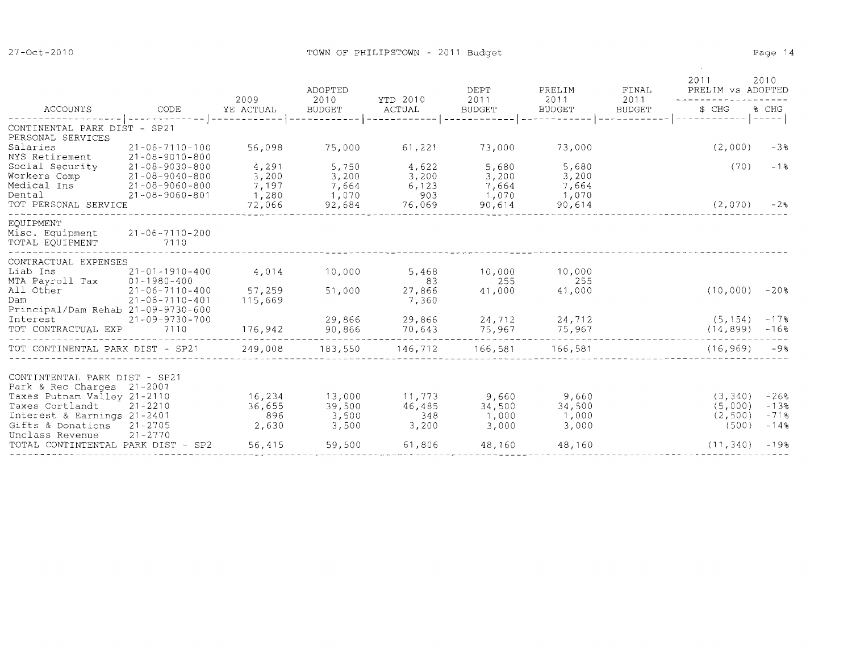|                                                                                                                 |                                                  |                   | 2009                  | ADOPTED<br>2010  | YTD 2010                       | DEPT<br>2011    | PRELIM<br>2011 | FINAL<br>2011             | 2011<br>PRELIM vs ADOPTED    | 2010 |
|-----------------------------------------------------------------------------------------------------------------|--------------------------------------------------|-------------------|-----------------------|------------------|--------------------------------|-----------------|----------------|---------------------------|------------------------------|------|
| ACCOUNTS                                                                                                        | CODE                                             | YE ACTUAL         | <b>BUDGET</b>         | ACTUAL           | <b>BUDGET</b>                  | <b>BUDGET</b>   | BUDGET         | \$ CHG                    | % CHG                        |      |
| CONTINENTAL PARK DIST - SP21                                                                                    |                                                  |                   |                       | --------         |                                |                 |                | ------------ -----        |                              |      |
| PERSONAL SERVICES<br>Salaries 21-06-7110-100<br>NYS Retirement 21-08-9010-800<br>Social Security 21-08-9030-800 | $21 - 06 - 7110 - 100$                           | 56,098            | 75,000                |                  | 61,221 73,000                  | 73,000          |                | (2,000)                   | $-3%$                        |      |
| Workers Comp $21-08-9040-800$                                                                                   |                                                  | 4,291<br>3,200    | 5,750<br>3,200        | 4,622<br>3,200   | 5,680<br>3,200                 | 5,680<br>3,200  |                | (70)                      | $-1$ %                       |      |
| Medical Ins<br>Dental                                                                                           | $21 - 08 - 9060 - 800$<br>21-08-9060-801         | 7,197<br>1,280    | 7,664<br>1,070        | 6,123<br>903     | 7,664<br>1,070                 | 7,664<br>1,070  |                |                           |                              |      |
| TOT PERSONAL SERVICE                                                                                            |                                                  | 72,066            | 92,684                | 76,069           | 90,614                         | 90,614          |                | $(2,070)$ -2 <sup>8</sup> |                              |      |
| EOUIPMENT<br>Misc. Equipment 21-06-7110-200<br>TOTAL EQUIPMENT                                                  | 7110                                             |                   |                       |                  |                                |                 |                |                           |                              |      |
| CONTRACTUAL EXPENSES                                                                                            |                                                  |                   |                       |                  |                                |                 |                |                           |                              |      |
| Liab Ins<br>MTA Payroll Tax 01-1980-400                                                                         | $21 - 01 - 1910 - 400$                           | 4,014             | 10,000                | 5,468<br>83      | 10,000<br>255                  | 10,000<br>255   |                |                           |                              |      |
| All Other<br>Dam                                                                                                | $21 - 06 - 7110 - 400$<br>$21 - 06 - 7110 - 401$ | 57,259<br>115,669 | 51,000                | 27,866<br>7,360  | 41,000                         | 41,000          |                | $(10,000)$ $-20%$         |                              |      |
| Principal/Dam Rehab 21-09-9730-600<br>Interest<br>TOT CONTRACTUAL EXP 7110                                      | $21 - 09 - 9730 - 700$                           | 176,942           | 29,866 2014<br>90,866 | 70,643           | 29,866 24,712 24,712<br>75,967 | 75,967          |                | (5, 154)<br>(14, 899)     | $-178$<br>$-16$ <sup>8</sup> |      |
| TOT CONTINENTAL PARK DIST - SP21                                                                                |                                                  | 249.008           | 183,550               | 146,712          |                                | 166,581 166,581 |                | (16, 969)                 | $-9$ <sup>8</sup>            |      |
| CONTINTENTAL PARK DIST - SP21<br>Park & Rec Charges 21-2001                                                     |                                                  |                   |                       |                  |                                |                 |                |                           |                              |      |
| Taxes Putnam Valley 21-2110<br>Taxes Cortlandt                                                                  | $21 - 2210$                                      | 16,234<br>36,655  | 13,000<br>39,500      | 11,773<br>46,485 | 9,660<br>34,500                | 9,660<br>34,500 |                | (3, 340)<br>(5,000)       | $-26$ 8<br>$-138$            |      |
| Interest & Earnings 21-2401<br>Gifts & Donations 21-2705<br>Unclass Revenue                                     | $21 - 2770$                                      | 896<br>2,630      | 3,500<br>3,500        | 348<br>3,200     | 1,000<br>3,000                 | 1,000<br>3,000  |                | (2, 500)<br>(500)         | $-71%$<br>$-148$             |      |
| TOTAL CONTINTENTAL PARK DIST - SP2                                                                              |                                                  | 56,415            | 59,500                | 61,806           | 48,160                         | 48,160          |                | (11, 340)                 | $-198$                       |      |